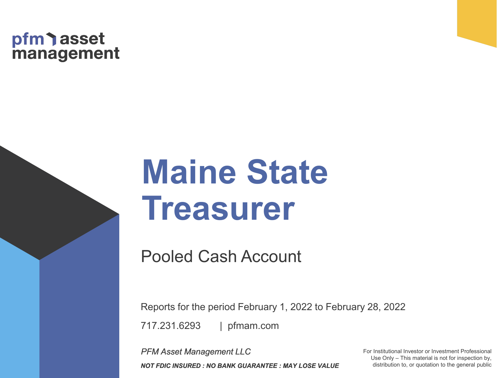## pfm asset<br>management

# **Maine State Treasurer**

Pooled Cash Account

| pfmam.com 717.231.6293 Reports for the period February 1, 2022 to February 28, 2022

*PFM Asset Management LLC NOT FDIC INSURED : NO BANK GUARANTEE : MAY LOSE VALUE* For Institutional Investor or Investment Professional Use Only – This material is not for inspection by, distribution to, or quotation to the general public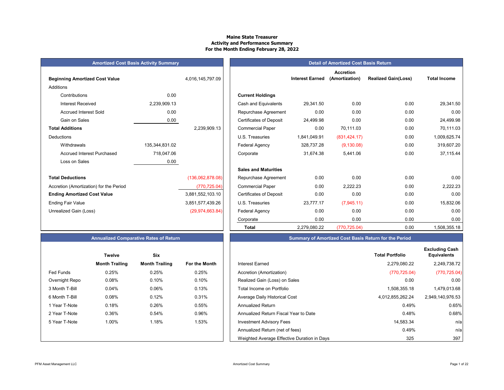### **Maine State TreasurerActivity and Performance Summary For the Month Ending February 28, 2022**

| <b>Beginning Amortized Cost Value</b>   |                | 4,016,145,797.09 |                                | <b>Interest Earned</b> |
|-----------------------------------------|----------------|------------------|--------------------------------|------------------------|
| <b>Additions</b>                        |                |                  |                                |                        |
| Contributions                           | 0.00           |                  | <b>Current Holdings</b>        |                        |
| <b>Interest Received</b>                | 2,239,909.13   |                  | Cash and Equivalents           | 29,341.50              |
| <b>Accrued Interest Sold</b>            | 0.00           |                  | Repurchase Agreement           | 0.00                   |
| Gain on Sales                           | 0.00           |                  | <b>Certificates of Deposit</b> | 24,499.98              |
| <b>Total Additions</b>                  |                | 2,239,909.13     | <b>Commercial Paper</b>        | 0.00                   |
| Deductions                              |                |                  | U.S. Treasuries                | 1,841,049.91           |
| Withdrawals                             | 135,344,831.02 |                  | Federal Agency                 | 328,737.28             |
| Accrued Interest Purchased              | 718,047.06     |                  | Corporate                      | 31,674.38              |
| Loss on Sales                           | 0.00           |                  |                                |                        |
|                                         |                |                  | <b>Sales and Maturities</b>    |                        |
| <b>Total Deductions</b>                 |                | (136,062,878.08) | Repurchase Agreement           | 0.00                   |
| Accretion (Amortization) for the Period |                | (770, 725.04)    | <b>Commercial Paper</b>        | 0.00                   |
| <b>Ending Amortized Cost Value</b>      |                | 3,881,552,103.10 | <b>Certificates of Deposit</b> | 0.00                   |
| Ending Fair Value                       |                | 385157743926     | <b>ILS Treasuries</b>          | 23 777 17              |

|                                         | <b>Amortized Cost Basis Activity Summary</b> |                   | <b>Detail of Amortized Cost Basis Return</b> |                        |                                    |                            |                     |  |  |
|-----------------------------------------|----------------------------------------------|-------------------|----------------------------------------------|------------------------|------------------------------------|----------------------------|---------------------|--|--|
| <b>Beginning Amortized Cost Value</b>   |                                              | 4,016,145,797.09  |                                              | <b>Interest Earned</b> | <b>Accretion</b><br>(Amortization) | <b>Realized Gain(Loss)</b> | <b>Total Income</b> |  |  |
| Additions                               |                                              |                   |                                              |                        |                                    |                            |                     |  |  |
| Contributions                           | 0.00                                         |                   | <b>Current Holdings</b>                      |                        |                                    |                            |                     |  |  |
| <b>Interest Received</b>                | 2,239,909.13                                 |                   | Cash and Equivalents                         | 29,341.50              | 0.00                               | 0.00                       | 29,341.50           |  |  |
| <b>Accrued Interest Sold</b>            | 0.00                                         |                   | Repurchase Agreement                         | 0.00                   | 0.00                               | 0.00                       | 0.00                |  |  |
| Gain on Sales                           | 0.00                                         |                   | <b>Certificates of Deposit</b>               | 24,499.98              | 0.00                               | 0.00                       | 24,499.98           |  |  |
| <b>Total Additions</b>                  |                                              | 2,239,909.13      | <b>Commercial Paper</b>                      | 0.00                   | 70,111.03                          | 0.00                       | 70,111.03           |  |  |
| Deductions                              |                                              |                   | U.S. Treasuries                              | 1,841,049.91           | (831, 424.17)                      | 0.00                       | 1,009,625.74        |  |  |
| Withdrawals                             | 135,344,831.02                               |                   | <b>Federal Agency</b>                        | 328,737.28             | (9, 130.08)                        | 0.00                       | 319,607.20          |  |  |
| <b>Accrued Interest Purchased</b>       | 718,047.06                                   |                   | Corporate                                    | 31,674.38              | 5,441.06                           | 0.00                       | 37,115.44           |  |  |
| Loss on Sales                           | 0.00                                         |                   |                                              |                        |                                    |                            |                     |  |  |
|                                         |                                              |                   | <b>Sales and Maturities</b>                  |                        |                                    |                            |                     |  |  |
| <b>Total Deductions</b>                 |                                              | (136,062,878.08)  | Repurchase Agreement                         | 0.00                   | 0.00                               | 0.00                       | 0.00                |  |  |
| Accretion (Amortization) for the Period |                                              | (770, 725.04)     | <b>Commercial Paper</b>                      | 0.00                   | 2,222.23                           | 0.00                       | 2,222.23            |  |  |
| <b>Ending Amortized Cost Value</b>      |                                              | 3,881,552,103.10  | <b>Certificates of Deposit</b>               | 0.00                   | 0.00                               | 0.00                       | 0.00                |  |  |
| Ending Fair Value                       |                                              | 3,851,577,439.26  | U.S. Treasuries                              | 23,777.17              | (7,945.11)                         | 0.00                       | 15,832.06           |  |  |
| Unrealized Gain (Loss)                  |                                              | (29, 974, 663.84) | Federal Agency                               | 0.00                   | 0.00                               | 0.00                       | 0.00                |  |  |
|                                         |                                              |                   | Corporate                                    | 0.00                   | 0.00                               | 0.00                       | 0.00                |  |  |
|                                         |                                              |                   | <b>Total</b>                                 | 2.279.080.22           | (770.725.04)                       | 0.00                       | 1,508,355.18        |  |  |

### **Annualized Comparative Rates of Return Summary of Amortized Cost Basis Return for the Period**

|                  | <b>Twelve</b>         | Six                   |               |                                             | <b>Total Portfolio</b> |
|------------------|-----------------------|-----------------------|---------------|---------------------------------------------|------------------------|
|                  | <b>Month Trailing</b> | <b>Month Trailing</b> | For the Month | Interest Earned                             | 2,279,080.22           |
| <b>Fed Funds</b> | 0.25%                 | 0.25%                 | 0.25%         | Accretion (Amortization)                    | (770, 725.04)          |
| Overnight Repo   | 0.08%                 | 0.10%                 | 0.10%         | Realized Gain (Loss) on Sales               | 0.00                   |
| 3 Month T-Bill   | 0.04%                 | 0.06%                 | 0.13%         | Total Income on Portfolio                   | 1,508,355.18           |
| 6 Month T-Bill   | 0.08%                 | 0.12%                 | 0.31%         | Average Daily Historical Cost               | 4,012,855,262.24       |
| 1 Year T-Note    | 0.18%                 | 0.26%                 | 0.55%         | <b>Annualized Return</b>                    | 0.49%                  |
| 2 Year T-Note    | 0.36%                 | 0.54%                 | 0.96%         | Annualized Return Fiscal Year to Date       | 0.48%                  |
| 5 Year T-Note    | 1.00%                 | 1.18%                 | 1.53%         | <b>Investment Advisory Fees</b>             | 14,583.34              |
|                  |                       |                       |               | Annualized Return (net of fees)             | 0.49%                  |
|                  |                       |                       |               | Weighted Average Effective Duration in Days | 325                    |

|                | <b>Twelve</b>         | Six                   |                      |
|----------------|-----------------------|-----------------------|----------------------|
|                | <b>Month Trailing</b> | <b>Month Trailing</b> | <b>For the Month</b> |
| Fed Funds      | 0.25%                 | 0.25%                 | 0.25%                |
| Overnight Repo | 0.08%                 | 0.10%                 | 0.10%                |
| 3 Month T-Bill | 0.04%                 | 0.06%                 | 0.13%                |
| 6 Month T-Bill | 0.08%                 | 0.12%                 | 0.31%                |
| 1 Year T-Note  | 0.18%                 | 0.26%                 | 0.55%                |
| 2 Year T-Note  | 0.36%                 | 0.54%                 | 0.96%                |
| 5 Year T-Note  | 1.00%                 | 1.18%                 | 1.53%                |
|                |                       |                       |                      |
|                |                       |                       |                      |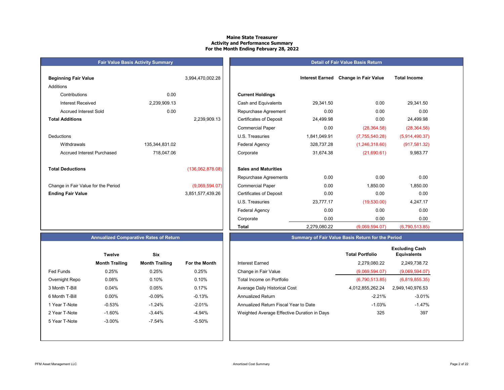#### **Maine State TreasurerActivity and Performance Summary For the Month Ending February 28, 2022**

| <b>Beginning Fair Value</b>         |                | 3,994,470,002.28 |                                | <b>Interest Earned</b> | <b>Change in Fair Value</b> | <b>Total Income</b> |
|-------------------------------------|----------------|------------------|--------------------------------|------------------------|-----------------------------|---------------------|
| Additions                           |                |                  |                                |                        |                             |                     |
| Contributions                       | 0.00           |                  | <b>Current Holdings</b>        |                        |                             |                     |
| Interest Received                   | 2,239,909.13   |                  | Cash and Equivalents           | 29,341.50              | 0.00                        | 29,341.50           |
| <b>Accrued Interest Sold</b>        | 0.00           |                  | Repurchase Agreement           | 0.00                   | 0.00                        | 0.00                |
| <b>Total Additions</b>              |                | 2,239,909.13     | <b>Certificates of Deposit</b> | 24,499.98              | 0.00                        | 24,499.98           |
|                                     |                |                  | <b>Commercial Paper</b>        | 0.00                   | (28, 364.58)                | (28, 364.58)        |
| <b>Deductions</b>                   |                |                  | U.S. Treasuries                | 1,841,049.91           | (7,755,540.28)              | (5,914,490.37)      |
| Withdrawals                         | 135,344,831.02 |                  | Federal Agency                 | 328,737.28             | (1,246,318.60)              | (917,581.32         |
| <b>Accrued Interest Purchased</b>   | 718,047.06     |                  | Corporate                      | 31,674.38              | (21,690.61)                 | 9,983.77            |
| <b>Total Deductions</b>             |                | (136,062,878.08) | <b>Sales and Maturities</b>    |                        |                             |                     |
|                                     |                |                  | Repurchase Agreements          | 0.00                   | 0.00                        | 0.00                |
| Change in Fair Value for the Period |                | (9,069,594.07)   | <b>Commercial Paper</b>        | 0.00                   | 1,850.00                    | 1,850.00            |
| <b>Ending Fair Value</b>            |                | 3,851,577,439.26 | <b>Certificates of Deposit</b> | 0.00                   | 0.00                        | 0.00                |

**Fair Value Basis Activity Summary**

### **Beginning Fair Value** 3,994,470,002.28 **Interest Earned Change in Fair Value Total Income Current Holdings** Cash and Equivalents 29,341.50 0.00 29,341.50 Repurchase Agreement  $0.00$  0.00 0.00 0.00 0.00 2,239,909.13 Certificates of Deposit 24,499.98 0.00 24,499.98 Commercial Paper 0.00 (28,364.58) (28,364.58) U.S. Treasuries 1,841,049.91 (7,755,540.28) (5,914,490.37) Withdrawals 135,344,831.02 Federal Agency 328,737.28 (1,246,318.60) (917,581.32) Accrued Interest Purchased 718,047.06 Corporate 31,674.38 (21,690.61) 9,983.77 (136,062,878.08) **Sales and Maturities**

**Detail of Fair Value Basis Return**

**Ending Fair Value** 3,851,577,439.26 Certificates of Deposit 0.00 0.00 0.00 U.S. Treasuries 23,777.17 (19,530.00) 4,247.17 Federal Agency 2000 0.00 0.00 0.00 0.00 0.00 Corporate 0.00 0.00 0.00 0.00 0.00

#### **Annualized Comparative Rates of Return**

|                | <b>Twelve</b>         | Six                   |                      |
|----------------|-----------------------|-----------------------|----------------------|
|                | <b>Month Trailing</b> | <b>Month Trailing</b> | <b>For the Month</b> |
| Fed Funds      | 0.25%                 | 0.25%                 | 0.25%                |
| Overnight Repo | 0.08%                 | 0.10%                 | 0.10%                |
| 3 Month T-Bill | 0.04%                 | 0.05%                 | 0.17%                |
| 6 Month T-Bill | $0.00\%$              | $-0.09%$              | $-0.13%$             |
| 1 Year T-Note  | $-0.53%$              | $-1.24%$              | $-2.01%$             |
| 2 Year T-Note  | $-1.60%$              | $-3.44%$              | $-4.94%$             |
| 5 Year T-Note  | $-3.00\%$             | $-7.54%$              | $-5.50%$             |
|                |                       |                       |                      |
|                |                       |                       |                      |

| Summary of Fair Value Basis Return for the Period |
|---------------------------------------------------|
|                                                   |

2,279,080.22 (9,069,594.07) (6,790,513.85)

|                  | <b>Twelve</b>         | Six                   |               |                                             | <b>Total Portfolio</b> | <b>Excluding Cash</b><br><b>Equivalents</b> |
|------------------|-----------------------|-----------------------|---------------|---------------------------------------------|------------------------|---------------------------------------------|
|                  | <b>Month Trailing</b> | <b>Month Trailing</b> | For the Month | <b>Interest Earned</b>                      | 2,279,080.22           | 2,249,738.72                                |
| <b>Fed Funds</b> | 0.25%                 | 0.25%                 | 0.25%         | Change in Fair Value                        | (9,069,594.07)         | (9,069,594.07)                              |
| Overnight Repo   | 0.08%                 | 0.10%                 | 0.10%         | Total Income on Portfolio                   | (6,790,513.85)         | (6,819,855.35)                              |
| 3 Month T-Bill   | 0.04%                 | 0.05%                 | 0.17%         | Average Daily Historical Cost               | 4,012,855,262.24       | 2,949,140,976.53                            |
| 6 Month T-Bill   | $0.00\%$              | $-0.09%$              | $-0.13%$      | Annualized Return                           | $-2.21%$               | $-3.01%$                                    |
| 1 Year T-Note    | $-0.53\%$             | $-1.24%$              | $-2.01%$      | Annualized Return Fiscal Year to Date       | $-1.03%$               | $-1.47%$                                    |
| 2 Year T-Note    | $-1.60%$              | $-3.44%$              | -4.94%        | Weighted Average Effective Duration in Days | 325                    | 397                                         |
| 5 Year T-Note    | $-3.00\%$             | $-7.54%$              | -5.50%        |                                             |                        |                                             |

**Total**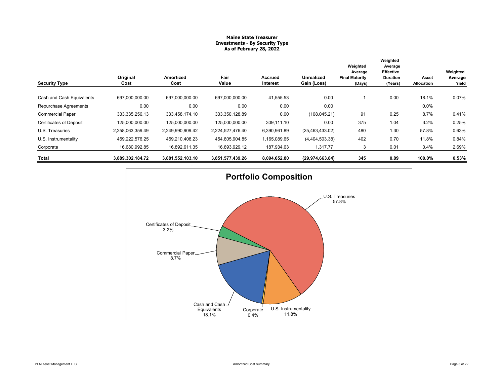#### **Maine State Treasurer Investments - By Security Type As of February 28, 2022**

| <b>Security Type</b>           | Original<br>Cost | Amortized<br>Cost | Fair<br>Value    | Accrued<br>Interest | <b>Unrealized</b><br>Gain (Loss) | Weighted<br>Average<br><b>Final Maturity</b><br>(Days) | Weighted<br>Average<br><b>Effective</b><br><b>Duration</b><br>(Years) | Asset<br>Allocation | Weighted<br>Average<br>Yield |
|--------------------------------|------------------|-------------------|------------------|---------------------|----------------------------------|--------------------------------------------------------|-----------------------------------------------------------------------|---------------------|------------------------------|
| Cash and Cash Equivalents      | 697,000,000.00   | 697,000,000.00    | 697,000,000.00   | 41,555.53           | 0.00                             |                                                        | 0.00                                                                  | 18.1%               | 0.07%                        |
| Repurchase Agreements          | 0.00             | 0.00              | 0.00             | 0.00                | 0.00                             |                                                        |                                                                       | 0.0%                |                              |
| <b>Commercial Paper</b>        | 333, 335, 256.13 | 333.458.174.10    | 333,350,128.89   | 0.00                | (108, 045.21)                    | 91                                                     | 0.25                                                                  | 8.7%                | 0.41%                        |
| <b>Certificates of Deposit</b> | 125,000,000.00   | 125,000,000.00    | 125,000,000.00   | 309,111.10          | 0.00                             | 375                                                    | 1.04                                                                  | 3.2%                | 0.25%                        |
| U.S. Treasuries                | 2,258,063,359.49 | 2,249,990,909.42  | 2,224,527,476.40 | 6,390,961.89        | (25, 463, 433.02)                | 480                                                    | 1.30                                                                  | 57.8%               | 0.63%                        |
| U.S. Instrumentality           | 459,222,576.25   | 459,210,408.23    | 454,805,904.85   | 1,165,089.65        | (4,404,503.38)                   | 402                                                    | 0.70                                                                  | 11.8%               | 0.84%                        |
| Corporate                      | 16.680.992.85    | 16,892,611.35     | 16,893,929.12    | 187,934.63          | 1.317.77                         |                                                        | 0.01                                                                  | 0.4%                | 2.69%                        |
| Total                          | 3,889,302,184.72 | 3,881,552,103.10  | 3,851,577,439.26 | 8,094,652.80        | (29, 974, 663.84)                | 345                                                    | 0.89                                                                  | 100.0%              | 0.53%                        |

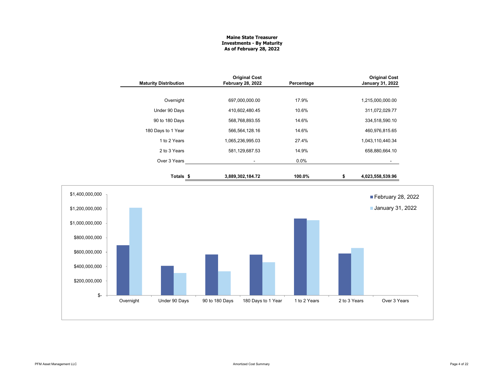#### **Maine State Treasurer Investments - By Maturity As of February 28, 2022**

| <b>Maturity Distribution</b> | <b>Original Cost</b><br><b>February 28, 2022</b> | Percentage | <b>Original Cost</b><br><b>January 31, 2022</b> |
|------------------------------|--------------------------------------------------|------------|-------------------------------------------------|
|                              |                                                  |            |                                                 |
| Overnight                    | 697,000,000.00                                   | 17.9%      | 1,215,000,000.00                                |
| Under 90 Days                | 410,602,480.45                                   | 10.6%      | 311,072,029.77                                  |
| 90 to 180 Days               | 568,768,893.55                                   | 14.6%      | 334,518,590.10                                  |
| 180 Days to 1 Year           | 566,564,128.16                                   | 14.6%      | 460,976,815.65                                  |
| 1 to 2 Years                 | 1,065,236,995.03                                 | 27.4%      | 1,043,110,440.34                                |
| 2 to 3 Years                 | 581,129,687.53                                   | 14.9%      | 658,880,664.10                                  |
| Over 3 Years                 | ۰                                                | $0.0\%$    |                                                 |
| Totals \$                    | 3,889,302,184.72                                 | 100.0%     | \$<br>4,023,558,539.96                          |

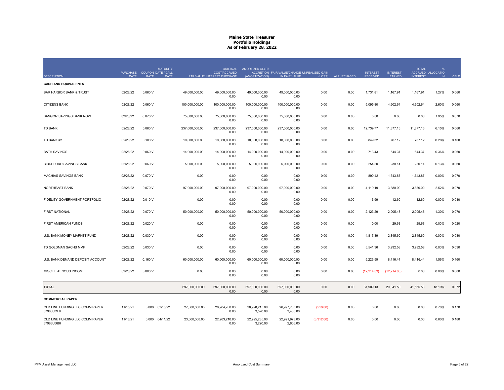| <b>DESCRIPTION</b>                           | PURCHASE COUPON DATE / CALL<br><b>DATE</b> | <b>RATE</b> | <b>MATURITY</b><br><b>DATE</b> |                | <b>ORIGINAL</b><br>COST/ACCRUED<br>PAR VALUE INTEREST PURCHASE | AMORTIZED COST/<br>(AMORTIZATION) | ACCRETION FAIR VALUE/CHANGE UNREALIZED GAIN<br>IN FAIR VALUE | (LOSS)     | AI PURCHASED | <b>INTEREST</b><br><b>RECEIVED</b> | <b>INTEREST</b><br>EARNED | <b>TOTAL</b><br><b>INTEREST</b> | %<br>ACCRUED ALLOCATIO<br>N | YIELD |
|----------------------------------------------|--------------------------------------------|-------------|--------------------------------|----------------|----------------------------------------------------------------|-----------------------------------|--------------------------------------------------------------|------------|--------------|------------------------------------|---------------------------|---------------------------------|-----------------------------|-------|
| <b>CASH AND EQUIVALENTS</b>                  |                                            |             |                                |                |                                                                |                                   |                                                              |            |              |                                    |                           |                                 |                             |       |
| <b>BAR HARBOR BANK &amp; TRUST</b>           | 02/28/22                                   | 0.060V      |                                | 49,000,000.00  | 49,000,000.00<br>0.00                                          | 49,000,000.00<br>0.00             | 49,000,000.00<br>0.00                                        | 0.00       | 0.00         | 1,731.81                           | 1,167.91                  | 1,167.91                        | 1.27%                       | 0.060 |
| <b>CITIZENS BANK</b>                         | 02/28/22                                   | 0.060V      |                                | 100,000,000.00 | 100,000,000.00<br>0.00                                         | 100,000,000.00<br>0.00            | 100,000,000.00<br>0.00                                       | 0.00       | 0.00         | 5,095.80                           | 4,602.64                  | 4,602.64                        | 2.60%                       | 0.060 |
| BANGOR SAVINGS BANK NOW                      | 02/28/22                                   | 0.070 V     |                                | 75,000,000.00  | 75,000,000.00<br>0.00                                          | 75,000,000.00<br>0.00             | 75,000,000.00<br>0.00                                        | 0.00       | 0.00         | 0.00                               | 0.00                      | 0.00                            | 1.95%                       | 0.070 |
| <b>TD BANK</b>                               | 02/28/22                                   | 0.060V      |                                | 237.000.000.00 | 237,000,000.00<br>0.00                                         | 237,000,000.00<br>0.00            | 237,000,000.00<br>0.00                                       | 0.00       | 0.00         | 12.739.77                          | 11.377.15                 | 11,377.15                       | 6.15%                       | 0.060 |
| TD BANK #2                                   | 02/28/22                                   | 0.100V      |                                | 10,000,000.00  | 10,000,000.00<br>0.00                                          | 10,000,000.00<br>0.00             | 10,000,000.00<br>0.00                                        | 0.00       | 0.00         | 849.32                             | 767.12                    | 767.12                          | 0.26%                       | 0.100 |
| <b>BATH SAVINGS</b>                          | 02/28/22                                   | 0.060V      |                                | 14,000,000.00  | 14,000,000.00<br>0.00                                          | 14,000,000.00<br>0.00             | 14,000,000.00<br>0.00                                        | 0.00       | 0.00         | 713.43                             | 644.37                    | 644.37                          | 0.36%                       | 0.060 |
| <b>BIDDEFORD SAVINGS BANK</b>                | 02/28/22                                   | 0.060V      |                                | 5,000,000.00   | 5,000,000.00<br>0.00                                           | 5,000,000.00<br>0.00              | 5,000,000.00<br>0.00                                         | 0.00       | 0.00         | 254.80                             | 230.14                    | 230.14                          | 0.13%                       | 0.060 |
| <b>MACHIAS SAVINGS BANK</b>                  | 02/28/22                                   | 0.070 V     |                                | 0.00           | 0.00<br>0.00                                                   | 0.00<br>0.00                      | 0.00<br>0.00                                                 | 0.00       | 0.00         | 890.42                             | 1,643.87                  | 1,643.87                        | 0.00%                       | 0.070 |
| NORTHEAST BANK                               | 02/28/22                                   | 0.070 V     |                                | 97,000,000.00  | 97,000,000.00<br>0.00                                          | 97,000,000.00<br>0.00             | 97,000,000.00<br>0.00                                        | 0.00       | 0.00         | 4,119.19                           | 3,880.00                  | 3,880.00                        | 2.52%                       | 0.070 |
| FIDELITY GOVERNMENT PORTFOLIO                | 02/28/22                                   | 0.010 V     |                                | 0.00           | 0.00<br>0.00                                                   | 0.00<br>0.00                      | 0.00<br>0.00                                                 | 0.00       | 0.00         | 16.99                              | 12.60                     | 12.60                           | 0.00%                       | 0.010 |
| <b>FIRST NATIONAL</b>                        | 02/28/22                                   | 0.070 V     |                                | 50,000,000.00  | 50,000,000.00<br>0.00                                          | 50,000,000.00<br>0.00             | 50,000,000.00<br>0.00                                        | 0.00       | 0.00         | 2,123.29                           | 2,005.48                  | 2,005.48                        | 1.30%                       | 0.070 |
| FIRST AMERICAN FUNDS                         | 02/28/22                                   | 0.020V      |                                | 0.00           | 0.00<br>0.00                                                   | 0.00<br>0.00                      | 0.00<br>0.00                                                 | 0.00       | 0.00         | 0.00                               | 29.63                     | 29.63                           | 0.00%                       | 0.020 |
| U.S. BANK MONEY MARKET FUND                  | 02/28/22                                   | 0.030 V     |                                | 0.00           | 0.00<br>0.00                                                   | 0.00<br>0.00                      | 0.00<br>0.00                                                 | 0.00       | 0.00         | 4,817.39                           | 2,845.60                  | 2,845.60                        | 0.00%                       | 0.030 |
| TD GOLDMAN SACHS MMF                         | 02/28/22                                   | 0.030 V     |                                | 0.00           | 0.00<br>0.00                                                   | 0.00<br>0.00                      | 0.00<br>0.00                                                 | 0.00       | 0.00         | 5,541.36                           | 3,932.58                  | 3,932.58                        | 0.00%                       | 0.030 |
| U.S. BANK DEMAND DEPOSIT ACCOUNT             | 02/28/22                                   | 0.160V      |                                | 60,000,000.00  | 60.000.000.00<br>0.00                                          | 60,000,000.00<br>0.00             | 60,000,000.00<br>0.00                                        | 0.00       | 0.00         | 5,229.59                           | 8,416.44                  | 8,416.44                        | 1.56%                       | 0.160 |
| MISCELLAENOUS INCOME                         | 02/28/22                                   | 0.000V      |                                | 0.00           | 0.00<br>0.00                                                   | 0.00<br>0.00                      | 0.00<br>0.00                                                 | 0.00       | 0.00         | (12, 214.03)                       | (12, 214.03)              | 0.00                            | 0.00%                       | 0.000 |
| <b>TOTAL</b>                                 |                                            |             |                                | 697,000,000.00 | 697,000,000.00<br>0.00                                         | 697,000,000.00<br>0.00            | 697,000,000.00<br>0.00                                       | 0.00       | 0.00         | 31,909.13                          | 29,341.50                 | 41,555.53                       | 18.10%                      | 0.072 |
| <b>COMMERCIAL PAPER</b>                      |                                            |             |                                |                |                                                                |                                   |                                                              |            |              |                                    |                           |                                 |                             |       |
| OLD LINE FUNDING LLC COMM PAPER<br>67983UCF8 | 11/15/21                                   | 0.000       | 03/15/22                       | 27,000,000.00  | 26,984,700.00<br>0.00                                          | 26,998,215.00<br>3,570.00         | 26,997,705.00<br>3,483.00                                    | (510.00)   | 0.00         | 0.00                               | 0.00                      | 0.00                            | 0.70%                       | 0.170 |
| OLD LINE FUNDING LLC COMM PAPER<br>67983UDB6 | 11/16/21                                   |             | 0.000 04/11/22                 | 23.000.000.00  | 22.983.210.00<br>0.00                                          | 22,995,285.00<br>3,220.00         | 22,991,973.00<br>2,806.00                                    | (3,312.00) | 0.00         | 0.00                               | 0.00                      | 0.00                            | 0.60%                       | 0.180 |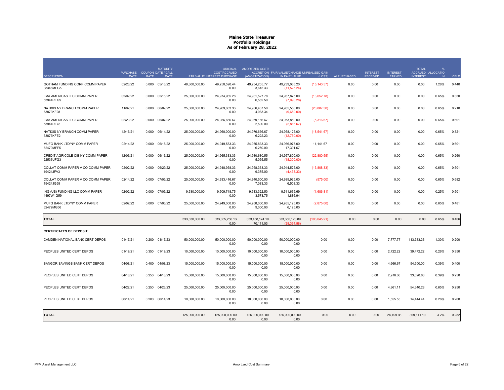|                                                | <b>PURCHASE</b> |             | <b>MATURITY</b><br>COUPON DATE / CALL |                | <b>ORIGINAL</b><br>COST/ACCRUED | AMORTIZED COST/             | ACCRETION FAIR VALUE/CHANGE UNREALIZED GAIN |               |              | <b>INTEREST</b> | <b>INTEREST</b> | <b>TOTAL</b>    | %<br>ACCRUED ALLOCATIO |              |
|------------------------------------------------|-----------------|-------------|---------------------------------------|----------------|---------------------------------|-----------------------------|---------------------------------------------|---------------|--------------|-----------------|-----------------|-----------------|------------------------|--------------|
| <b>DESCRIPTION</b>                             | <b>DATE</b>     | <b>RATE</b> | <b>DATE</b>                           |                | PAR VALUE INTEREST PURCHASE     | (AMORTIZATION)              | IN FAIR VALUE                               | (LOSS)        | AI PURCHASED | <b>RECEIVED</b> | EARNED          | <b>INTEREST</b> | N                      | <b>YIELD</b> |
| GOTHAM FUNDING CORP COMM PAPER<br>38346MEG5    | 02/23/22        | 0.000       | 05/16/22                              | 49.300.000.00  | 49.250.590.44<br>0.00           | 49.254.205.77<br>3,615.33   | 49.239.065.20<br>(11,525.24)                | (15, 140.57)  | 0.00         | 0.00            | 0.00            | 0.00            | 1.28%                  | 0.440        |
| LMA AMERICAS LLC COMM PAPER<br>53944REG9       | 02/02/22        | 0.000       | 05/16/22                              | 25,000,000.00  | 24,974,965.28<br>0.00           | 24,981,527.78<br>6.562.50   | 24,967,875.00<br>(7,090.28)                 | (13,652.78)   | 0.00         | 0.00            | 0.00            | 0.00            | 0.65%                  | 0.350        |
| NATIXIS NY BRANCH COMM PAPER<br>63873KF28      | 11/02/21        | 0.000       | 06/02/22                              | 25.000.000.00  | 24.969.083.33<br>0.00           | 24.986.437.50<br>4,083.34   | 24,965,550.00<br>(9,650.00)                 | (20, 887.50)  | 0.00         | 0.00            | 0.00            | 0.00            | 0.65%                  | 0.210        |
| LMA AMERICAS LLC COMM PAPER<br>53944RF78       | 02/23/22        | 0.000       | 06/07/22                              | 25,000,000.00  | 24,956,666.67<br>0.00           | 24,959,166.67<br>2,500.00   | 24,953,850.00<br>(2,816.67)                 | (5,316.67)    | 0.00         | 0.00            | 0.00            | 0.00            | 0.65%                  | 0.601        |
| NATIXIS NY BRANCH COMM PAPER<br>63873KFE2      | 12/16/21        | 0.000       | 06/14/22                              | 25,000,000.00  | 24.960.000.00<br>0.00           | 24.976.666.67<br>6,222.23   | 24,958,125.00<br>(12,750.00)                | (18, 541.67)  | 0.00         | 0.00            | 0.00            | 0.00            | 0.65%                  | 0.321        |
| MUFG BANK LTD/NY COMM PAPER<br>62479MFF5       | 02/14/22        | 0.000       | 06/15/22                              | 25,000,000.00  | 24,949,583.33<br>0.00           | 24,955,833.33<br>6,250.00   | 24,966,975.00<br>17,391.67                  | 11,141.67     | 0.00         | 0.00            | 0.00            | 0.00            | 0.65%                  | 0.601        |
| CREDIT AGRICOLE CIB NY COMM PAPER<br>22533UFG3 | 12/06/21        | 0.000       | 06/16/22                              | 25,000,000.00  | 24,965,333.33<br>0.00           | 24,980,680.55<br>5,055.55   | 24,957,800.00<br>(18,300.00)                | (22,880.55)   | 0.00         | 0.00            | 0.00            | 0.00            | 0.65%                  | 0.260        |
| COLLAT COMM PAPER V CO COMM PAPER<br>19424JFV3 | 02/02/22        | 0.000       | 06/29/22                              | 25,000,000.00  | 24.948.958.33<br>0.00           | 24,958,333.33<br>9,375.00   | 24,944,525.00<br>(4, 433.33)                | (13,808.33)   | 0.00         | 0.00            | 0.00            | 0.00            | 0.65%                  | 0.501        |
| COLLAT COMM PAPER V CO COMM PAPER<br>19424JG59 | 02/14/22        | 0.000       | 07/05/22                              | 25,000,000.00  | 24,933,416.67<br>0.00           | 24,940,500.00<br>7,083.33   | 24,939,925.00<br>6,508.33                   | (575.00)      | 0.00         | 0.00            | 0.00            | 0.00            | 0.65%                  | 0.682        |
| ING (US) FUNDING LLC COMM PAPER<br>4497W1G59   | 02/02/22        | 0.000       | 07/05/22                              | 9,530,000.00   | 9,509,748.75<br>0.00            | 9,513,322.50<br>3,573.75    | 9,511,635.69<br>1.886.94                    | (1,686.81)    | 0.00         | 0.00            | 0.00            | 0.00            | 0.25%                  | 0.501        |
| MUFG BANK LTD/NY COMM PAPER<br>62479MG56       | 02/02/22        | 0.000       | 07/05/22                              | 25,000,000.00  | 24.949.000.00<br>0.00           | 24,958,000.00<br>9,000.00   | 24,955,125.00<br>6,125.00                   | (2,875.00)    | 0.00         | 0.00            | 0.00            | 0.00            | 0.65%                  | 0.481        |
| <b>TOTAL</b>                                   |                 |             |                                       | 333,830,000.00 | 333.335.256.13<br>0.00          | 333.458.174.10<br>70.111.03 | 333, 350, 128.89<br>(28.364.58)             | (108, 045.21) | 0.00         | 0.00            | 0.00            | 0.00            | 8.65%                  | 0.406        |
| <b>CERTIFICATES OF DEPOSIT</b>                 |                 |             |                                       |                |                                 |                             |                                             |               |              |                 |                 |                 |                        |              |
| CAMDEN NATIONAL BANK CERT DEPOS                | 01/17/21        | 0.200       | 01/17/23                              | 50,000,000.00  | 50,000,000.00<br>0.00           | 50,000,000.00<br>0.00       | 50,000,000.00<br>0.00                       | 0.00          | 0.00         | 0.00            | 7,777.77        | 113,333.33      | 1.30%                  | 0.200        |
| PEOPLES UNITED CERT DEPOS                      | 01/19/21        | 0.350       | 01/19/23                              | 10,000,000.00  | 10,000,000.00<br>0.00           | 10,000,000.00<br>0.00       | 10,000,000.00<br>0.00                       | 0.00          | 0.00         | 0.00            | 2,722.22        | 39,472.22       | 0.26%                  | 0.350        |
| BANGOR SAVINGS BANK CERT DEPOS                 | 04/08/21        | 0.400       | 04/08/23                              | 15,000,000.00  | 15,000,000.00<br>0.00           | 15,000,000.00<br>0.00       | 15,000,000.00<br>0.00                       | 0.00          | 0.00         | 0.00            | 4,666.67        | 54,500.00       | 0.39%                  | 0.400        |
| PEOPLES UNITED CERT DEPOS                      | 04/18/21        | 0.250       | 04/18/23                              | 15,000,000.00  | 15.000.000.00<br>0.00           | 15,000,000.00<br>0.00       | 15,000,000.00<br>0.00                       | 0.00          | 0.00         | 0.00            | 2,916.66        | 33,020.83       | 0.39%                  | 0.250        |
| PEOPLES UNITED CERT DEPOS                      | 04/22/21        | 0.250       | 04/23/23                              | 25,000,000.00  | 25,000,000.00<br>0.00           | 25,000,000.00<br>0.00       | 25,000,000.00<br>0.00                       | 0.00          | 0.00         | 0.00            | 4,861.11        | 54,340.28       | 0.65%                  | 0.250        |
| PEOPLES UNITED CERT DEPOS                      | 06/14/21        | 0.200       | 06/14/23                              | 10,000,000.00  | 10,000,000.00<br>0.00           | 10,000,000.00<br>0.00       | 10,000,000.00<br>0.00                       | 0.00          | 0.00         | 0.00            | 1,555.55        | 14,444.44       | 0.26%                  | 0.200        |
| <b>TOTAL</b>                                   |                 |             |                                       | 125,000,000.00 | 125,000,000.00<br>0.00          | 125,000,000.00<br>0.00      | 125,000,000.00<br>0.00                      | 0.00          | 0.00         | 0.00            | 24,499.98       | 309,111.10      | 3.2%                   | 0.252        |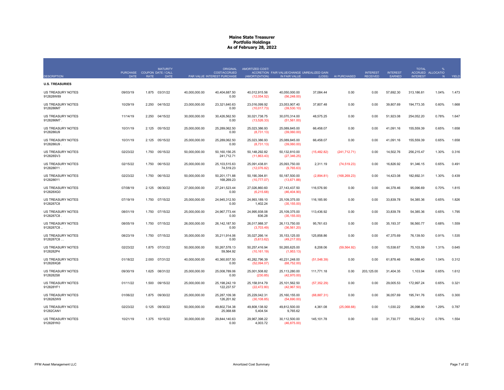|                                        | PURCHASE COUPON DATE / CALL |             | <b>MATURITY</b> |               | <b>ORIGINAL</b><br><b>COST/ACCRUED</b> | AMORTIZED COST/               | ACCRETION FAIR VALUE/CHANGE UNREALIZED GAIN |              |               | <b>INTEREST</b> | <b>INTEREST</b> | <b>TOTAL</b>    | ACCRUED ALLOCATIO |       |
|----------------------------------------|-----------------------------|-------------|-----------------|---------------|----------------------------------------|-------------------------------|---------------------------------------------|--------------|---------------|-----------------|-----------------|-----------------|-------------------|-------|
| <b>DESCRIPTION</b>                     | <b>DATE</b>                 | <b>RATE</b> | <b>DATE</b>     |               | PAR VALUE INTEREST PURCHASE            | (AMORTIZATION)                | IN FAIR VALUE                               | (LOSS)       | AI PURCHASED  | <b>RECEIVED</b> | EARNED          | <b>INTEREST</b> | N                 | YIELD |
| <b>U.S. TREASURIES</b>                 |                             |             |                 |               |                                        |                               |                                             |              |               |                 |                 |                 |                   |       |
| <b>US TREASURY NOTES</b><br>912828W89  | 09/03/19                    | 1.875       | 03/31/22        | 40,000,000.00 | 40,404,687.50<br>0.00                  | 40,012,915.56<br>(12,054.52)  | 40,050,000.00<br>(56, 248.00)               | 37,084.44    | 0.00          | 0.00            | 57,692.30       | 313,186.81      | 1.04%             | 1.473 |
| <b>US TREASURY NOTES</b><br>9128286M7  | 10/29/19                    | 2.250       | 04/15/22        | 23,000,000.00 | 23,321,640.63<br>0.00                  | 23,016,099.92<br>(10,017.73)  | 23,053,907.40<br>(39,530.10)                | 37,807.48    | 0.00          | 0.00            | 39,807.69       | 194,773.35      | 0.60%             | 1.668 |
| <b>US TREASURY NOTES</b><br>9128286M7. | 11/14/19                    | 2.250       | 04/15/22        | 30,000,000.00 | 30,426,562.50<br>0.00                  | 30,021,738.75<br>(13,526.33)  | 30,070,314.00<br>(51, 561.00)               | 48,575.25    | 0.00          | 0.00            | 51,923.08       | 254,052.20      | 0.78%             | 1.647 |
| <b>US TREASURY NOTES</b><br>9128286U9  | 10/31/19                    | 2.125       | 05/15/22        | 25.000.000.00 | 25.289.062.50<br>0.00                  | 25.023.386.93<br>(8,731.13)   | 25.089.845.00<br>(39,060.00)                | 66.458.07    | 0.00          | 0.00            | 41.091.16       | 155.559.39      | 0.65%             | 1.658 |
| <b>US TREASURY NOTES</b><br>9128286U9  | 10/31/19                    | 2.125       | 05/15/22        | 25,000,000.00 | 25,289,062.50<br>0.00                  | 25,023,386.93<br>(8,731.13)   | 25,089,845.00<br>(39,060.00)                | 66,458.07    | 0.00          | 0.00            | 41,091.16       | 155,559.39      | 0.65%             | 1.658 |
| <b>US TREASURY NOTES</b><br>912828SV3  | 02/23/22                    | 1.750       | 05/15/22        | 50,000,000.00 | 50,160,156.25<br>241,712.71            | 50,148,292.82<br>(11,863.43)  | 50,132,810.00<br>(27, 346.25)               | (15, 482.82) | (241, 712.71) | 0.00            | 14,502.76       | 256,215.47      | 1.30%             | 0.316 |
| <b>US TREASURY NOTES</b><br>9128286Y1. | 02/15/22                    | 1.750       | 06/15/22        | 25,000,000.00 | 25,103,515.63<br>74.519.23             | 25,091,438.81<br>(12,076.82)  | 25,093,750.00<br>(9,765.63)                 | 2,311.19     | (74, 519.23)  | 0.00            | 16,826.92       | 91,346.15       | 0.65%             | 0.491 |
| <b>US TREASURY NOTES</b><br>9128286Y1  | 02/23/22                    | 1.750       | 06/15/22        | 50,000,000.00 | 50.201.171.88<br>168,269.23            | 50.190.394.81<br>(10,777.07)  | 50,187,500.00<br>(13,671.88)                | (2,894.81)   | (168, 269.23) | 0.00            | 14,423.08       | 182,692.31      | 1.30%             | 0.439 |
| US TREASURY NOTES<br>912828XG0         | 07/08/19                    | 2.125       | 06/30/22        | 27,000,000.00 | 27,241,523.44<br>0.00                  | 27,026,860.60<br>(6,215.68)   | 27, 143, 437.50<br>(46, 404.90)             | 116,576.90   | 0.00          | 0.00            | 44,378.46       | 95,096.69       | 0.70%             | 1.815 |
| <b>US TREASURY NOTES</b><br>9128287C8  | 07/19/19                    |             | 1.750 07/15/22  | 25,000,000.00 | 24,945,312.50<br>0.00                  | 24,993,189.10<br>1,402.24     | 25,109,375.00<br>(35, 155.00)               | 116,185.90   | 0.00          | 0.00            | 33,839.78       | 54,385.36       | 0.65%             | 1.826 |
| US TREASURY NOTES<br>9128287C8         | 08/01/19                    | 1.750       | 07/15/22        | 25,000,000.00 | 24,967,773.44<br>0.00                  | 24,995,938.08<br>836.28       | 25, 109, 375.00<br>(35, 155.00)             | 113,436.92   | 0.00          | 0.00            | 33,839.78       | 54,385.36       | 0.65%             | 1.795 |
| US TREASURY NOTES<br>9128287C8         | 08/05/19                    | 1.750       | 07/15/22        | 26,000,000.00 | 26,142,187.50<br>0.00                  | 26,017,988.37<br>(3,703.49)   | 26,113,750.00<br>(36, 561.20)               | 95,761.63    | 0.00          | 0.00            | 35, 193.37      | 56,560.77       | 0.68%             | 1.559 |
| <b>US TREASURY NOTES</b><br>9128287C8  | 08/23/19                    | 1.750       | 07/15/22        | 35,000,000.00 | 35,211,914.06<br>0.00                  | 35,027,266.14<br>(5,613.62)   | 35, 153, 125.00<br>(49, 217.00)             | 125,858.86   | 0.00          | 0.00            | 47,375.69       | 76,139.50       | 0.91%             | 1.535 |
| <b>US TREASURY NOTES</b><br>9128282P4  | 02/23/22                    | 1.875       | 07/31/22        | 50,000,000.00 | 50,267,578.13<br>59,564.92             | 50,257,416.94<br>(10, 161.19) | 50,265,625.00<br>(1,953.13)                 | 8,208.06     | (59, 564.92)  | 0.00            | 15,538.67       | 75,103.59       | 1.31%             | 0.645 |
| US TREASURY NOTES<br>912828XQ8         | 01/18/22                    | 2.000       | 07/31/22        | 40,000,000.00 | 40,360,937.50<br>0.00                  | 40,282,796.39<br>(52,094.07)  | 40,231,248.00<br>(68, 752.00)               | (51, 548.39) | 0.00          | 0.00            | 61,878.46       | 64,088.40       | 1.04%             | 0.312 |
| <b>US TREASURY NOTES</b><br>9128282S8  | 09/30/19                    | 1.625       | 08/31/22        | 25,000,000.00 | 25,008,789.06<br>0.00                  | 25,001,508.82<br>(230.85)     | 25,113,280.00<br>(42,970.00)                | 111,771.18   | 0.00          | 203,125.00      | 31,404.35       | 1,103.94        | 0.65%             | 1.612 |
| US TREASURY NOTES<br>912828YF1         | 01/11/22                    | 1.500       | 09/15/22        | 25,000,000.00 | 25, 198, 242. 19<br>122,237.57         | 25,158,914.79<br>(22, 472.80) | 25, 101, 562.50<br>(42, 967.50)             | (57, 352.29) | 0.00          | 0.00            | 29,005.53       | 172,997.24      | 0.65%             | 0.321 |
| <b>US TREASURY NOTES</b><br>9128282W9  | 01/06/22                    | 1.875       | 09/30/22        | 25,000,000.00 | 25,287,109.38<br>126,201.92            | 25,229,042.31<br>(30, 108.85) | 25, 160, 155.00<br>(54,690.00)              | (68, 887.31) | 0.00          | 0.00            | 36,057.69       | 195,741.76      | 0.65%             | 0.300 |
| <b>US TREASURY NOTES</b><br>91282CAN1  | 02/23/22                    | 0.125       | 09/30/22        | 50.000.000.00 | 49.802.734.38<br>25,068.68             | 49.808.138.92<br>5,404.54     | 49.812.500.00<br>9,765.62                   | 4.361.08     | (25,068.68)   | 0.00            | 1.030.22        | 26.098.90       | 1.29%             | 0.787 |
| <b>US TREASURY NOTES</b><br>912828YK0  | 10/21/19                    |             | 1.375 10/15/22  | 30,000,000.00 | 29,844,140.63<br>0.00                  | 29,967,398.22<br>4.003.72     | 30,112,500.00<br>(46.875.00)                | 145, 101.78  | 0.00          | 0.00            | 31,730.77       | 155,254.12      | 0.78%             | 1.554 |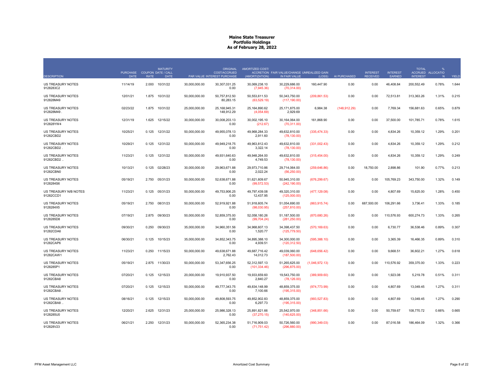| <b>DESCRIPTION</b>                     | PURCHASE COUPON DATE / CALL<br><b>DATE</b> | <b>RATE</b> | <b>MATURITY</b><br>DATE |               | <b>ORIGINAL</b><br><b>COST/ACCRUED</b><br>PAR VALUE INTEREST PURCHASE | AMORTIZED COST/<br>(AMORTIZATION) | ACCRETION FAIR VALUE/CHANGE UNREALIZED GAIN<br>IN FAIR VALUE | (LOSS)         | AI PURCHASED  | <b>INTEREST</b><br><b>RECEIVED</b> | <b>INTEREST</b><br><b>EARNED</b> | <b>TOTAL</b><br><b>INTEREST</b> | %<br>ACCRUED ALLOCATIO<br>N | YIELD |
|----------------------------------------|--------------------------------------------|-------------|-------------------------|---------------|-----------------------------------------------------------------------|-----------------------------------|--------------------------------------------------------------|----------------|---------------|------------------------------------|----------------------------------|---------------------------------|-----------------------------|-------|
| US TREASURY NOTES<br>9128283C2         | 11/14/19                                   | 2.000       | 10/31/22                | 30,000,000.00 | 30,307,031.25<br>0.00                                                 | 30,069,238.10<br>(7,945.36)       | 30,229,686.00<br>(70, 314.00)                                | 160,447.90     | 0.00          | 0.00                               | 46,408.84                        | 200,552.49                      | 0.78%                       | 1.644 |
| US TREASURY NOTES<br>912828M49         | 12/01/21                                   | 1.875       | 10/31/22                | 50,000,000.00 | 50,757,812.50<br>80.283.15                                            | 50,553,611.53<br>(63, 529.19)     | 50,343,750.00<br>(117, 190.00)                               | (209, 861.53)  | 0.00          | 0.00                               | 72,513.81                        | 313,363.26                      | 1.31%                       | 0.215 |
| <b>US TREASURY NOTES</b><br>912828M49  | 02/23/22                                   |             | 1.875 10/31/22          | 25,000,000.00 | 25, 168, 945. 31<br>148,912.29                                        | 25,164,890.62<br>(4,054.69)       | 25, 171, 875.00<br>2,929.69                                  | 6,984.38       | (148, 912.29) | 0.00                               | 7,769.34                         | 156,681.63                      | 0.65%                       | 0.879 |
| <b>US TREASURY NOTES</b><br>912828YW4  | 12/31/19                                   | 1.625       | 12/15/22                | 30,000,000.00 | 30,008,203.13<br>0.00                                                 | 30,002,195.10<br>(212.67)         | 30, 164, 064. 00<br>(70, 311.00)                             | 161,868.90     | 0.00          | 0.00                               | 37,500.00                        | 101,785.71                      | 0.78%                       | 1.615 |
| <b>US TREASURY NOTES</b><br>91282CBD2  | 10/25/21                                   | 0.125       | 12/31/22                | 50,000,000.00 | 49,955,078.13<br>0.00                                                 | 49,968,284.33<br>2.911.60         | 49,632,810.00<br>(78, 130.00)                                | (335, 474.33)  | 0.00          | 0.00                               | 4,834.26                         | 10,359.12                       | 1.29%                       | 0.201 |
| US TREASURY NOTES<br>91282CBD2.        | 10/29/21                                   | 0.125       | 12/31/22                | 50,000,000.00 | 49,949,218.75<br>0.00                                                 | 49,963,812.43<br>3,322.14         | 49,632,810.00<br>(78, 130.00)                                | (331,002.43)   | 0.00          | 0.00                               | 4,834.26                         | 10,359.12                       | 1.29%                       | 0.212 |
| <b>US TREASURY NOTES</b><br>91282CBD2  | 11/23/21                                   | 0.125       | 12/31/22                | 50,000,000.00 | 49,931,640.63<br>0.00                                                 | 49,948,264.00<br>4,749.53         | 49,632,810.00<br>(78, 130.00)                                | (315, 454.00)  | 0.00          | 0.00                               | 4,834.26                         | 10,359.12                       | 1.29%                       | 0.249 |
| <b>US TREASURY NOTES</b><br>91282CBN0  | 10/13/21                                   | 0.125       | 02/28/23                | 30,000,000.00 | 29,963,671.88<br>0.00                                                 | 29,973,710.86<br>2.022.24         | 29,714,064.00<br>(56, 250.00)                                | (259, 646.86)  | 0.00          | 18,750.00                          | 2,898.86                         | 101.90                          | 0.77%                       | 0.213 |
| US TREASURY NOTES<br>9128284S6         | 05/19/21                                   | 2.750       | 05/31/23                | 50,000,000.00 | 52,638,671.88<br>0.00                                                 | 51,621,609.67<br>(99, 572.53)     | 50,945,310.00<br>(242, 190.00)                               | (676, 299.67)  | 0.00          | 0.00                               | 105,769.23                       | 343,750.00                      | 1.32%                       | 0.149 |
| US TREASURY N/B NOTES<br>91282CCD1     | 11/23/21                                   | 0.125       | 05/31/23                | 50,000,000.00 | 49,753,906.25<br>0.00                                                 | 49.797.439.08<br>12,437.95        | 49.320.310.00<br>(125,000.00)                                | (477, 129.08)  | 0.00          | 0.00                               | 4,807.69                         | 15,625.00                       | 1.28%                       | 0.450 |
| <b>US TREASURY NOTES</b><br>9128284X5  | 05/19/21                                   | 2.750       | 08/31/23                | 50,000,000.00 | 52,919,921.88<br>0.00                                                 | 51,918,605.74<br>(98,030.95)      | 51,054,690.00<br>(257, 810.00)                               | (863, 915.74)  | 0.00          | 687,500.00                         | 106,291.66                       | 3,736.41                        | 1.33%                       | 0.185 |
| US TREASURY NOTES<br>9128285D8         | 07/19/21                                   | 2.875       | 09/30/23                | 50,000,000.00 | 52,859,375.00<br>0.00                                                 | 52,058,180.26<br>(99, 704.24)     | 51,187,500.00<br>(281, 250.00)                               | (870, 680.26)  | 0.00          | 0.00                               | 110,576.93                       | 600,274.73                      | 1.33%                       | 0.265 |
| US TREASURY NOTES<br>91282CDA6         | 09/30/21                                   | 0.250       | 09/30/23                | 35,000,000.00 | 34.960.351.56<br>0.00                                                 | 34.968.607.13<br>1,520.77         | 34,398,437.50<br>(125, 779.50)                               | (570, 169.63)  | 0.00          | 0.00                               | 6,730.77                         | 36,538.46                       | 0.89%                       | 0.307 |
| US TREASURY NOTES<br>91282CAP6         | 06/30/21                                   | 0.125       | 10/15/23                | 35,000,000.00 | 34,852,343.75<br>0.00                                                 | 34,895,388.10<br>4,939.51         | 34,300,000.00<br>(120, 312.50)                               | (595, 388.10)  | 0.00          | 0.00                               | 3,365.39                         | 16,466.35                       | 0.89%                       | 0.310 |
| US TREASURY NOTES<br>91282CAW1         | 11/23/21                                   | 0.250       | 11/15/23                | 50,000,000.00 | 49,638,671.88<br>2,762.43                                             | 49,687,716.42<br>14,012.73        | 49,039,060.00<br>(187,500.00)                                | (648, 656.42)  | 0.00          | 0.00                               | 9,668.51                         | 36,602.21                       | 1.27%                       | 0.618 |
| US TREASURY NOTES<br>9128285P1         | 05/19/21                                   | 2.875       | 11/30/23                | 50,000,000.00 | 53.347.656.25<br>0.00                                                 | 52.312.597.13<br>(101, 334.46)    | 51,265,625.00<br>(296, 875.00)                               | (1,046,972.13) | 0.00          | 0.00                               | 110,576.92                       | 359,375.00                      | 1.33%                       | 0.223 |
| US TREASURY NOTES<br>91282CBA8         | 07/20/21                                   | 0.125       | 12/15/23                | 20.000.000.00 | 19.910.937.50<br>0.00                                                 | 19.933.659.60<br>2,840.27         | 19,543,750.00<br>(78, 126.00)                                | (389,909.60)   | 0.00          | 0.00                               | 1,923.08                         | 5,219.78                        | 0.51%                       | 0.311 |
| US TREASURY NOTES<br>91282CBA8         | 07/20/21                                   | 0.125       | 12/15/23                | 50,000,000.00 | 49,777,343.75<br>0.00                                                 | 49,834,148.99<br>7.100.66         | 48,859,375.00<br>(195, 315.00)                               | (974, 773.99)  | 0.00          | 0.00                               | 4,807.69                         | 13,049.45                       | 1.27%                       | 0.311 |
| <b>US TREASURY NOTES</b><br>91282CBA8. | 08/16/21                                   | 0.125       | 12/15/23                | 50,000,000.00 | 49,808,593.75<br>0.00                                                 | 49.852.902.83<br>6,297.73         | 48,859,375.00<br>(195,315.00)                                | (993, 527.83)  | 0.00          | 0.00                               | 4,807.69                         | 13,049.45                       | 1.27%                       | 0.290 |
| <b>US TREASURY NOTES</b><br>9128285U0  | 12/20/21                                   | 2.625       | 12/31/23                | 25,000,000.00 | 25.986.328.13<br>0.00                                                 | 25,891,821.66<br>(37, 270.15)     | 25,542,970.00<br>(140, 625.00)                               | (348, 851.66)  | 0.00          | 0.00                               | 50,759.67                        | 108,770.72                      | 0.66%                       | 0.665 |
| <b>US TREASURY NOTES</b><br>912828V23  | 06/21/21                                   | 2.250       | 12/31/23                | 50,000,000.00 | 52,365,234.38<br>0.00                                                 | 51,716,909.03<br>(71, 751.42)     | 50,726,560.00<br>(296, 880.00)                               | (990, 349.03)  | 0.00          | 0.00                               | 87,016.58                        | 186,464.09                      | 1.32%                       | 0.366 |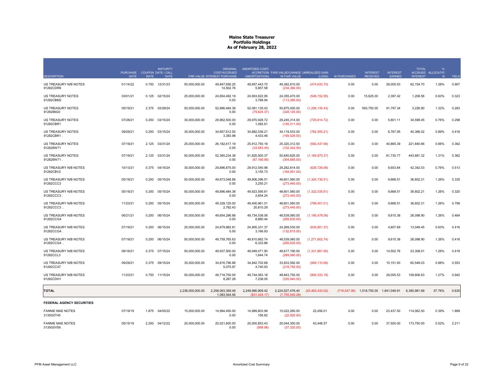| <b>DESCRIPTION</b>                     | PURCHASE COUPON DATE / CALL<br>DATE | <b>RATE</b> | <b>MATURITY</b><br><b>DATE</b> |                  | <b>ORIGINAL</b><br><b>COST/ACCRUED</b><br>PAR VALUE INTEREST PURCHASE | AMORTIZED COST/<br>(AMORTIZATION) | ACCRETION FAIR VALUE/CHANGE UNREALIZED GAIN<br>IN FAIR VALUE | (LOSS)            | AI PURCHASED | <b>INTEREST</b><br><b>RECEIVED</b>     | <b>INTEREST</b><br><b>EARNED</b> | <b>TOTAL</b><br><b>INTEREST</b> | %<br>ACCRUED ALLOCATIO<br>N | YIELD |
|----------------------------------------|-------------------------------------|-------------|--------------------------------|------------------|-----------------------------------------------------------------------|-----------------------------------|--------------------------------------------------------------|-------------------|--------------|----------------------------------------|----------------------------------|---------------------------------|-----------------------------|-------|
| US TREASURY N/B NOTES<br>91282CDR9     | 01/14/22                            | 0.750       | 12/31/23                       | 50,000,000.00    | 49,847,656.25<br>14,502.76                                            | 49,857,443.70<br>5,957.58         | 49,382,810.00<br>(234, 380.00)                               | (474, 633.70)     | 0.00         | 0.00                                   | 29,005.53                        | 62,154.70                       | 1.28%                       | 0.907 |
| <b>US TREASURY NOTES</b><br>91282CBM2  | 03/01/21                            | 0.125       | 02/15/24                       | 25,000,000,00    | 24.854.492.19<br>0.00                                                 | 24.903.622.95<br>3,768.94         | 24.355.470.00<br>(113, 280.00)                               | (548, 152.95)     | 0.00         | 15.625.00                              | 2.397.42                         | 1.208.56                        | 0.63%                       | 0.323 |
| <b>US TREASURY NOTES</b><br>9128286G0  | 05/19/21                            | 2.375       | 02/29/24                       | 50,000,000.00    | 52,896,484.38<br>0.00                                                 | 52,081,135.43<br>(79, 824.37)     | 50,875,000.00<br>(328, 125.00)                               | (1, 206, 135.43)  | 0.00         | 593,750.00                             | 91,797.34                        | 3,226.90                        | 1.32%                       | 0.283 |
| <b>US TREASURY NOTES</b><br>91282CBR1  | 07/28/21                            | 0.250       | 03/15/24                       | 30,000,000.00    | 29,962,500.00<br>0.00                                                 | 29,970,928.72<br>1,092.61         | 29,245,314.00<br>(145, 311.00)                               | (725, 614.72)     | 0.00         | 0.00                                   | 5,801.11                         | 34,599.45                       | 0.76%                       | 0.298 |
| <b>US TREASURY NOTES</b><br>91282CBR1. | 09/29/21                            | 0.250       | 03/15/24                       | 35,000,000.00    | 34,857,812.50<br>3.383.98                                             | 34,882,038.21<br>4.433.46         | 34,119,533.00<br>(169, 529.50)                               | (762, 505.21)     | 0.00         | 0.00                                   | 6,767.95                         | 40,366.02                       | 0.89%                       | 0.416 |
| <b>US TREASURY NOTES</b><br>912828W71  | 07/19/21                            | 2.125       | 03/31/24                       | 25,000,000.00    | 26,182,617.19<br>0.00                                                 | 25,912,750.18<br>(33, 583.45)     | 25,320,312.50<br>(152, 342.50)                               | (592, 437.68)     | 0.00         | 0.00                                   | 40,865.39                        | 221,840.66                      | 0.66%                       | 0.362 |
| <b>US TREASURY NOTES</b><br>912828W71. | 07/19/21                            | 2.125       | 03/31/24                       | 50,000,000.00    | 52,365,234.38<br>0.00                                                 | 51,825,500.37<br>(67, 166.90)     | 50,640,625.00<br>(304, 685.00)                               | (1, 184, 875.37)  | 0.00         | 0.00                                   | 81,730.77                        | 443,681.32                      | 1.31%                       | 0.362 |
| US TREASURY N/B NOTES<br>91282CBV2     | 10/13/21                            | 0.375       | 04/15/24                       | 30,000,000.00    | 29,896,875.00<br>0.00                                                 | 29,912,540.98<br>3,155.73         | 29,282,814.00<br>(164,061.00)                                | (629, 726.98)     | 0.00         | 0.00                                   | 8,653.84                         | 42,342.03                       | 0.76%                       | 0.513 |
| US TREASURY N/B NOTES<br>91282CCC3     | 05/19/21                            | 0.250       | 05/15/24                       | 50,000,000.00    | 49,873,046.88<br>0.00                                                 | 49,906,296.51<br>3,255.21         | 48,601,560.00<br>(273, 440.00)                               | (1,304,736.51)    | 0.00         | 0.00                                   | 9,668.51                         | 36,602.21                       | 1.26%                       | 0.335 |
| US TREASURY N/B NOTES<br>91282CCC3     | 05/19/21                            | 0.250       | 05/15/24                       | 50,000,000.00    | 49,896,484.38<br>0.00                                                 | 49,923,595.61<br>2,654.24         | 48,601,560.00<br>(273, 440.00)                               | (1,322,035.61)    | 0.00         | 0.00                                   | 9,668.51                         | 36,602.21                       | 1.26%                       | 0.320 |
| US TREASURY N/B NOTES<br>91282CCC3     | 11/23/21                            | 0.250       | 05/15/24                       | 50,000,000.00    | 49,328,125.00<br>2,762.43                                             | 49,400,961.01<br>20,810.29        | 48,601,560.00<br>(273, 440.00)                               | (799, 401.01)     | 0.00         | 0.00                                   | 9,668.51                         | 36,602.21                       | 1.26%                       | 0.799 |
| US TREASURY N/B NOTES<br>91282CCG4     | 06/21/21                            | 0.250       | 06/15/24                       | 50.000.000.00    | 49.654.296.88<br>0.00                                                 | 49.734.538.06<br>8,880.44         | 48,539,060.00<br>(265, 630.00)                               | (1, 195, 478.06)  | 0.00         | 0.00                                   | 9.615.38                         | 26.098.90                       | 1.26%                       | 0.484 |
| US TREASURY N/B NOTES<br>91282CCG4     | 07/19/21                            | 0.250       | 06/15/24                       | 25,000,000.00    | 24,879,882.81<br>0.00                                                 | 24.905.331.37<br>3,166.93         | 24,269,530.00<br>(132, 815.00)                               | (635, 801.37)     | 0.00         | 0.00                                   | 4,807.69                         | 13,049.45                       | 0.63%                       | 0.416 |
| US TREASURY N/B NOTES<br>91282CCG4     | 07/19/21                            | 0.250       | 06/15/24                       | 50,000,000.00    | 49,759,765.63<br>0.00                                                 | 49,810,662.74<br>6,333.86         | 48,539,060.00<br>(265, 630.00)                               | (1,271,602.74)    | 0.00         | 0.00                                   | 9,615.38                         | 26,098.90                       | 1.26%                       | 0.416 |
| US TREASURY N/B NOTES<br>91282CCL3     | 08/16/21                            | 0.375       | 07/15/24                       | 50,000,000.00    | 49,937,500.00<br>0.00                                                 | 49.949.071.90<br>1.644.74         | 48,617,190.00<br>(289.060.00)                                | (1,331,881.90)    | 0.00         | 0.00                                   | 14,502.76                        | 23,308.01                       | 1.26%                       | 0.418 |
| US TREASURY N/B NOTES<br>91282CCX7     | 09/29/21                            | 0.375       | 09/15/24                       | 35,000,000.00    | 34.816.796.88<br>5,075.97                                             | 34.842.702.68<br>4,740.93         | 33.933.592.00<br>(218,750.00)                                | (909, 110.68)     | 0.00         | 0.00                                   | 10,151.93                        | 60,549.03                       | 0.88%                       | 0.553 |
| US TREASURY N/B NOTES<br>91282CDH1     | 11/23/21                            | 0.750       | 11/15/24                       | 50,000,000.00    | 49,718,750.00<br>8,287.29                                             | 49,744,083.18<br>7,238.05         | 48,843,750.00<br>(335,940.00)                                | (900, 333.18)     | 0.00         | 0.00                                   | 29,005.53                        | 109,806.63                      | 1.27%                       | 0.942 |
| <b>TOTAL</b>                           |                                     |             |                                | 2,236,000,000.00 | 2,258,063,359.49<br>1.083.544.56                                      | 2,249,990,909.42<br>(831.424.17)  | 2,224,527,476.40<br>(7.755.540.28)                           | (25, 463, 433.02) |              | (718,047.06) 1,518,750.00 1,841,049.91 |                                  | 6,390,961.89                    | 57.76%                      | 0.630 |
| FEDERAL AGENCY SECURITIES              |                                     |             |                                |                  |                                                                       |                                   |                                                              |                   |              |                                        |                                  |                                 |                             |       |
| <b>FANNIE MAE NOTES</b><br>3135G0T45   | 07/19/19                            | 1.875       | 04/05/22                       | 15,000,000.00    | 14,994,450.00<br>0.00                                                 | 14,999,803.99<br>156.82           | 15,022,260.00<br>(22,920.00)                                 | 22,456.01         | 0.00         | 0.00                                   | 23,437.50                        | 114,062.50                      | 0.39%                       | 1.889 |
| <b>FANNIE MAE NOTES</b><br>3135G0V59   | 05/15/19                            | 2.250       | 04/12/22                       | 20,000,000.00    | 20,021,600.00<br>0.00                                                 | 20,000,853.43<br>(568.96)         | 20,044,300.00<br>(37.320.00)                                 | 43,446.57         | 0.00         | 0.00                                   | 37,500.00                        | 173,750.00                      | 0.52%                       | 2.211 |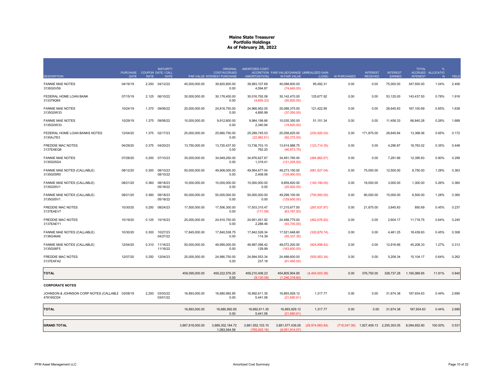|                                                              | <b>PURCHASE</b> |             | <b>MATURITY</b><br><b>COUPON DATE / CALL</b> |                  | <b>ORIGINAL</b><br>COST/ACCRUED  | AMORTIZED COST/                  | ACCRETION FAIR VALUE/CHANGE UNREALIZED GAIN |                   |              | <b>INTEREST</b>                        | <b>INTEREST</b> | <b>TOTAL</b>    | %<br>ACCRUED ALLOCATIO |       |
|--------------------------------------------------------------|-----------------|-------------|----------------------------------------------|------------------|----------------------------------|----------------------------------|---------------------------------------------|-------------------|--------------|----------------------------------------|-----------------|-----------------|------------------------|-------|
| <b>DESCRIPTION</b>                                           | <b>DATE</b>     | <b>RATE</b> | <b>DATE</b>                                  |                  | PAR VALUE INTEREST PURCHASE      | (AMORTIZATION)                   | IN FAIR VALUE                               | (LOSS)            | AI PURCHASED | <b>RECEIVED</b>                        | EARNED          | <b>INTEREST</b> | N                      | YIELD |
| <b>FANNIE MAE NOTES</b><br>3135G0V59                         | 04/16/19        | 2.250       | 04/12/22                                     | 40,000,000.00    | 39,820,800.00<br>0.00            | 39,993,107.69<br>4,594.87        | 40,088,600.00<br>(74, 640.00)               | 95,492.31         | 0.00         | 0.00                                   | 75,000.00       | 347,500.00      | 1.04%                  | 2.406 |
| FEDERAL HOME LOAN BANK<br>313379Q69                          | 07/15/19        | 2.125       | 06/10/22                                     | 30,000,000.00    | 30,176,400.00<br>0.00            | 30,016,792.08<br>(4,655.23)      | 30, 142, 470.00<br>(50, 820.00)             | 125,677.92        | 0.00         | 0.00                                   | 53,125.00       | 143,437.50      | 0.78%                  | 1.916 |
| <b>FANNIE MAE NOTES</b><br>3135G0W33                         | 10/24/19        | 1.375       | 09/06/22                                     | 25,000,000.00    | 24,816,750.00<br>0.00            | 24,966,952.05<br>4,895.99        | 25,088,375.00<br>(37,050.00)                | 121,422.95        | 0.00         | 0.00                                   | 28,645.83       | 167,100.69      | 0.65%                  | 1.638 |
| <b>FANNIE MAE NOTES</b><br>3135G0W33.                        | 10/29/19        | 1.375       | 09/06/22                                     | 10,000,000.00    | 9,912,800.00<br>0.00             | 9,984,198.66<br>2,340.94         | 10,035,350.00<br>(14,820.00)                | 51,151.34         | 0.00         | 0.00                                   | 11,458.33       | 66,840.28       | 0.26%                  | 1.689 |
| FEDERAL HOME LOAN BANKS NOTES<br>3130AJ7E3                   | 12/04/20        | 1.375       | 02/17/23                                     | 25,000,000.00    | 25,660,750.00<br>0.00            | 25,289,745.03<br>(22,982.61)     | 25,058,825.00<br>(92, 375.00)               | (230, 920.03)     | 0.00         | 171,875.00                             | 28,645.84       | 13,368.06       | 0.65%                  | 0.172 |
| <b>FREDDIE MAC NOTES</b><br>3137EAEQ8                        | 04/29/20        | 0.375       | 04/20/23                                     | 13,750,000.00    | 13.720.437.50<br>0.00            | 13,738,703.10<br>762.20          | 13,614,988.75<br>(46, 873.75)               | (123, 714.35)     | 0.00         | 0.00                                   | 4,296.87        | 18,763.02       | 0.35%                  | 0.448 |
| <b>FANNIE MAE NOTES</b><br>3135G05G4                         | 07/28/20        | 0.250       | 07/10/23                                     | 35,000,000.00    | 34,949,250.00<br>0.00            | 34,976,627.67<br>1,319.41        | 34,491,765.00<br>(121, 205.00)              | (484, 862.67)     | 0.00         | 0.00                                   | 7,291.66        | 12,395.83       | 0.90%                  | 0.299 |
| FANNIE MAE NOTES (CALLABLE)<br>3135G05R0                     | 08/12/20        | 0.300       | 08/10/23<br>08/10/22                         | 50,000,000.00    | 49,906,000.00<br>0.00            | 49,954,677.04<br>2,408.06        | 49,273,150.00<br>(124,900.00)               | (681, 527.04)     | 0.00         | 75,000.00                              | 12,500.00       | 8,750.00        | 1.28%                  | 0.363 |
| FANNIE MAE NOTES (CALLABLE)<br>3135G05V1                     | 08/21/20        | 0.360       | 08/18/23<br>05/18/22                         | 10,000,000.00    | 10,000,000.00<br>0.00            | 10,000,000.00<br>0.00            | 9,859,820.00<br>(25,920.00)                 | (140, 180.00)     | 0.00         | 18,000.00                              | 3,000.00        | 1,300.00        | 0.26%                  | 0.360 |
| FANNIE MAE NOTES (CALLABLE)<br>3135G05V1.                    | 08/21/20        | 0.360       | 08/18/23<br>05/18/22                         | 50,000,000.00    | 50,000,000.00<br>0.00            | 50,000,000.00<br>0.00            | 49,299,100.00<br>(129,600.00)               | (700, 900.00)     | 0.00         | 90,000.00                              | 15,000.00       | 6,500.00        | 1.28%                  | 0.360 |
| <b>FREDDIE MAC NOTES</b><br>3137EAEV7                        | 10/30/20        | 0.250       | 08/24/23                                     | 17,500,000.00    | 17,506,300.00<br>0.00            | 17,503,315.47<br>(171.59)        | 17,215,677.50<br>(63,787.50)                | (287, 637.97)     | 0.00         | 21,875.00                              | 3,645.83        | 850.69          | 0.45%                  | 0.237 |
| <b>FREDDIE MAC NOTES</b><br>3137EAEY1                        | 10/19/20        | 0.125       | 10/16/23                                     | 25,000,000.00    | 24,910,750.00<br>0.00            | 24,951,451.92<br>2,288.46        | 24,488,775.00<br>(93,700.00)                | (462,676.92)      | 0.00         | 0.00                                   | 2,604.17        | 11,718.75       | 0.64%                  | 0.245 |
| FANNIE MAE NOTES (CALLABLE)<br>3136G46A6                     | 10/30/20        | 0.300       | 10/27/23<br>04/27/22                         | 17,845,000.00    | 17,840,538.75<br>0.00            | 17,842,528.34<br>114.39          | 17,521,648.60<br>(55, 337.35)               | (320, 879.74)     | 0.00         | 0.00                                   | 4,461.25        | 18,439.83       | 0.45%                  | 0.308 |
| FANNIE MAE NOTES (CALLABLE)<br>3135G06F5                     | 12/04/20        | 0.310       | 11/16/23<br>11/16/22                         | 50,000,000.00    | 49,995,000.00<br>0.00            | 49,997,098.42<br>129.99          | 49,072,200.00<br>(163,600.00)               | (924, 898.42)     | 0.00         | 0.00                                   | 12,916.66       | 45,208.33       | 1.27%                  | 0.313 |
| FREDDIE MAC NOTES<br>3137EAFA2                               | 12/07/20        | 0.250       | 12/04/23                                     | 25,000,000.00    | 24,990,750.00<br>0.00            | 24,994,553.34<br>237.18          | 24,488,600.00<br>(91, 450.00)               | (505, 953.34)     | 0.00         | 0.00                                   | 5,208.34        | 15,104.17       | 0.64%                  | 0.262 |
| <b>TOTAL</b>                                                 |                 |             |                                              | 459,095,000.00   | 459,222,576.25<br>0.00           | 459,210,408.23<br>(9.130.08)     | 454,805,904.85<br>(1.246.318.60)            | (4,404,503.38)    | 0.00         | 376,750.00                             | 328,737.28      | 1,165,089.65    | 11.81%                 | 0.840 |
| <b>CORPORATE NOTES</b>                                       |                 |             |                                              |                  |                                  |                                  |                                             |                   |              |                                        |                 |                 |                        |       |
| JOHNSON & JOHNSON CORP NOTES (CALLABLE 03/08/19<br>478160CD4 |                 | 2.250       | 03/03/22<br>03/01/22                         | 16,893,000.00    | 16,680,992.85<br>0.00            | 16,892,611.35<br>5,441.06        | 16,893,929.12<br>(21,690.61)                | 1,317.77          | 0.00         | 0.00                                   | 31,674.38       | 187,934.63      | 0.44%                  | 2.690 |
| <b>TOTAL</b>                                                 |                 |             |                                              | 16,893,000.00    | 16.680.992.85<br>0.00            | 16.892.611.35<br>5,441.06        | 16,893,929.12<br>(21,690.61)                | 1,317.77          | 0.00         | 0.00                                   | 31,674.38       | 187,934.63      | 0.44%                  | 2.690 |
| <b>GRAND TOTAL</b>                                           |                 |             |                                              | 3,867,818,000.00 | 3,889,302,184.72<br>1,083,544.56 | 3,881,552,103.10<br>(765.002.16) | 3,851,577,439.26<br>(9.051.914.07)          | (29, 974, 663.84) |              | (718,047.06) 1,927,409.13 2,255,303.05 |                 | 8,094,652.80    | 100.00%                | 0.531 |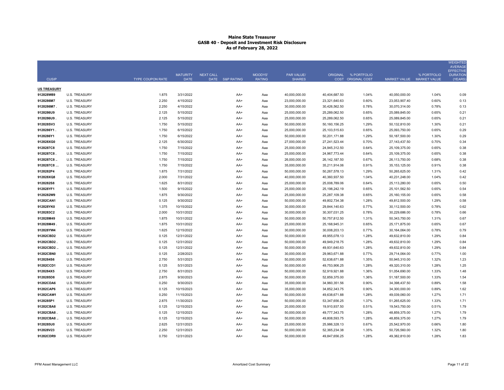|                    |                      |                         |                                |                                     |                                 |                                    |                  |                                            |                           |             | <b>WEIGHTED</b><br><b>AVERAGE</b><br><b>EFFECTIVE</b> |
|--------------------|----------------------|-------------------------|--------------------------------|-------------------------------------|---------------------------------|------------------------------------|------------------|--------------------------------------------|---------------------------|-------------|-------------------------------------------------------|
| <b>CUSIP</b>       |                      | <b>TYPE COUPON RATE</b> | <b>MATURITY</b><br><b>DATE</b> | <b>NEXT CALL</b><br>DATE S&P RATING | <b>MOODYS'</b><br><b>RATING</b> | <b>PAR VALUE/</b><br><b>SHARES</b> |                  | ORIGINAL % PORTFOLIO<br>COST ORIGINAL COST | MARKET VALUE MARKET VALUE | % PORTFOLIO | <b>DURATION</b><br>(YEARS)                            |
| <b>US TREASURY</b> |                      |                         |                                |                                     |                                 |                                    |                  |                                            |                           |             |                                                       |
| 912828W89          | <b>U.S. TREASURY</b> | 1.875                   | 3/31/2022                      | AA+                                 | Aaa                             | 40,000,000.00                      | 40,404,687.50    | 1.04%                                      | 40,050,000.00             | 1.04%       | 0.09                                                  |
| 9128286M7          | <b>U.S. TREASURY</b> | 2.250                   | 4/15/2022                      | AA+                                 | Aaa                             | 23,000,000.00                      | 23,321,640.63    | 0.60%                                      | 23,053,907.40             | 0.60%       | 0.13                                                  |
| 9128286M7.         | U.S. TREASURY        | 2.250                   | 4/15/2022                      | AA+                                 | Aaa                             | 30,000,000.00                      | 30,426,562.50    | 0.78%                                      | 30,070,314.00             | 0.78%       | 0.13                                                  |
| 9128286U9          | <b>U.S. TREASURY</b> | 2.125                   | 5/15/2022                      | AA+                                 | Aaa                             | 25,000,000.00                      | 25,289,062.50    | 0.65%                                      | 25,089,845.00             | 0.65%       | 0.21                                                  |
| 9128286U9.         | <b>U.S. TREASURY</b> | 2.125                   | 5/15/2022                      | AA+                                 | Aaa                             | 25,000,000.00                      | 25,289,062.50    | 0.65%                                      | 25,089,845.00             | 0.65%       | 0.21                                                  |
| 912828SV3          | <b>U.S. TREASURY</b> | 1.750                   | 5/15/2022                      | AA+                                 | Aaa                             | 50,000,000.00                      | 50,160,156.25    | 1.29%                                      | 50,132,810.00             | 1.30%       | 0.21                                                  |
| 9128286Y1          | U.S. TREASURY        | 1.750                   | 6/15/2022                      | AA+                                 | Aaa                             | 25,000,000.00                      | 25,103,515.63    | 0.65%                                      | 25,093,750.00             | 0.65%       | 0.29                                                  |
| 9128286Y1          | <b>U.S. TREASURY</b> | 1.750                   | 6/15/2022                      | AA+                                 | Aaa                             | 50,000,000.00                      | 50,201,171.88    | 1.29%                                      | 50,187,500.00             | 1.30%       | 0.29                                                  |
| 912828XG0          | <b>U.S. TREASURY</b> | 2.125                   | 6/30/2022                      | AA+                                 | Aaa                             | 27,000,000.00                      | 27,241,523.44    | 0.70%                                      | 27, 143, 437.50           | 0.70%       | 0.34                                                  |
| 9128287C8          | <b>U.S. TREASURY</b> | 1.750                   | 7/15/2022                      | AA+                                 | Aaa                             | 25,000,000.00                      | 24,945,312.50    | 0.64%                                      | 25,109,375.00             | 0.65%       | 0.38                                                  |
| 9128287C8.         | <b>U.S. TREASURY</b> | 1.750                   | 7/15/2022                      | AA+                                 | Aaa                             | 25,000,000.00                      | 24,967,773.44    | 0.64%                                      | 25,109,375.00             | 0.65%       | 0.38                                                  |
| 9128287C8.         | <b>U.S. TREASURY</b> | 1.750                   | 7/15/2022                      | AA+                                 | Aaa                             | 26,000,000.00                      | 26, 142, 187.50  | 0.67%                                      | 26,113,750.00             | 0.68%       | 0.38                                                  |
| 9128287C8          | <b>U.S. TREASURY</b> | 1.750                   | 7/15/2022                      | AA+                                 | Aaa                             | 35,000,000.00                      | 35,211,914.06    | 0.91%                                      | 35, 153, 125.00           | 0.91%       | 0.38                                                  |
| 9128282P4          | <b>U.S. TREASURY</b> | 1.875                   | 7/31/2022                      | AA+                                 | Aaa                             | 50,000,000.00                      | 50,267,578.13    | 1.29%                                      | 50,265,625.00             | 1.31%       | 0.42                                                  |
| 912828XQ8          | <b>U.S. TREASURY</b> | 2.000                   | 7/31/2022                      | AA+                                 | Aaa                             | 40,000,000.00                      | 40,360,937.50    | 1.04%                                      | 40,231,248.00             | 1.04%       | 0.42                                                  |
| 9128282S8          | <b>U.S. TREASURY</b> | 1.625                   | 8/31/2022                      | AA+                                 | Aaa                             | 25,000,000.00                      | 25,008,789.06    | 0.64%                                      | 25,113,280.00             | 0.65%       | 0.50                                                  |
| 912828YF1          | <b>U.S. TREASURY</b> | 1.500                   | 9/15/2022                      | AA+                                 | Aaa                             | 25,000,000.00                      | 25, 198, 242. 19 | 0.65%                                      | 25,101,562.50             | 0.65%       | 0.54                                                  |
| 9128282W9          | <b>U.S. TREASURY</b> | 1.875                   | 9/30/2022                      | AA+                                 | Aaa                             | 25,000,000.00                      | 25,287,109.38    | 0.65%                                      | 25,160,155.00             | 0.65%       | 0.58                                                  |
| 91282CAN1          | <b>U.S. TREASURY</b> | 0.125                   | 9/30/2022                      | AA+                                 | Aaa                             | 50,000,000.00                      | 49,802,734.38    | 1.28%                                      | 49,812,500.00             | 1.29%       | 0.58                                                  |
| 912828YK0          | <b>U.S. TREASURY</b> | 1.375                   | 10/15/2022                     | AA+                                 | Aaa                             | 30,000,000.00                      | 29,844,140.63    | 0.77%                                      | 30,112,500.00             | 0.78%       | 0.62                                                  |
| 9128283C2          | <b>U.S. TREASURY</b> | 2.000                   | 10/31/2022                     | AA+                                 | Aaa                             | 30,000,000.00                      | 30,307,031.25    | 0.78%                                      | 30,229,686.00             | 0.78%       | 0.66                                                  |
| 912828M49          | <b>U.S. TREASURY</b> | 1.875                   | 10/31/2022                     | AA+                                 | Aaa                             | 50,000,000.00                      | 50,757,812.50    | 1.31%                                      | 50,343,750.00             | 1.31%       | 0.67                                                  |
| 912828M49          | <b>U.S. TREASURY</b> | 1.875                   | 10/31/2022                     | AA+                                 | Aaa                             | 25,000,000.00                      | 25, 168, 945. 31 | 0.65%                                      | 25,171,875.00             | 0.65%       | 0.67                                                  |
| 912828YW4          | U.S. TREASURY        | 1.625                   | 12/15/2022                     | AA+                                 | Aaa                             | 30,000,000.00                      | 30,008,203.13    | 0.77%                                      | 30,164,064.00             | 0.78%       | 0.79                                                  |
| 91282CBD2          | <b>U.S. TREASURY</b> | 0.125                   | 12/31/2022                     | AA+                                 | Aaa                             | 50,000,000.00                      | 49,955,078.13    | 1.28%                                      | 49,632,810.00             | 1.29%       | 0.84                                                  |
| 91282CBD2.         | <b>U.S. TREASURY</b> | 0.125                   | 12/31/2022                     | AA+                                 | Aaa                             | 50,000,000.00                      | 49,949,218.75    | 1.28%                                      | 49,632,810.00             | 1.29%       | 0.84                                                  |
| 91282CBD2.         | <b>U.S. TREASURY</b> | 0.125                   | 12/31/2022                     | AA+                                 | Aaa                             | 50,000,000.00                      | 49,931,640.63    | 1.28%                                      | 49,632,810.00             | 1.29%       | 0.84                                                  |
| 91282CBN0          | <b>U.S. TREASURY</b> | 0.125                   | 2/28/2023                      | AA+                                 | Aaa                             | 30,000,000.00                      | 29,963,671.88    | 0.77%                                      | 29,714,064.00             | 0.77%       | 1.00                                                  |
| 9128284S6          | <b>U.S. TREASURY</b> | 2.750                   | 5/31/2023                      | AA+                                 | Aaa                             | 50,000,000.00                      | 52,638,671.88    | 1.35%                                      | 50,945,310.00             | 1.32%       | 1.23                                                  |
| 91282CCD1          | <b>U.S. TREASURY</b> | 0.125                   | 5/31/2023                      | AA+                                 | Aaa                             | 50,000,000.00                      | 49,753,906.25    | 1.28%                                      | 49,320,310.00             | 1.28%       | 1.25                                                  |
| 9128284X5          | <b>U.S. TREASURY</b> | 2.750                   | 8/31/2023                      | AA+                                 | Aaa                             | 50,000,000.00                      | 52,919,921.88    | 1.36%                                      | 51,054,690.00             | 1.33%       | 1.48                                                  |
| 9128285D8          | <b>U.S. TREASURY</b> | 2.875                   | 9/30/2023                      | AA+                                 | Aaa                             | 50,000,000.00                      | 52,859,375.00    | 1.36%                                      | 51,187,500.00             | 1.33%       | 1.54                                                  |
| 91282CDA6          | <b>U.S. TREASURY</b> | 0.250                   | 9/30/2023                      | AA+                                 | Aaa                             | 35,000,000.00                      | 34,960,351.56    | 0.90%                                      | 34,398,437.50             | 0.89%       | 1.58                                                  |
| 91282CAP6          | <b>U.S. TREASURY</b> | 0.125                   | 10/15/2023                     | AA+                                 | Aaa                             | 35,000,000.00                      | 34.852.343.75    | 0.90%                                      | 34,300,000.00             | 0.89%       | 1.62                                                  |
| 91282CAW1          | <b>U.S. TREASURY</b> | 0.250                   | 11/15/2023                     | AA+                                 | Aaa                             | 50,000,000.00                      | 49,638,671.88    | 1.28%                                      | 49,039,060.00             | 1.27%       | 1.71                                                  |
| 9128285P1          | <b>U.S. TREASURY</b> | 2.875                   | 11/30/2023                     | AA+                                 | Aaa                             | 50,000,000.00                      | 53,347,656.25    | 1.37%                                      | 51,265,625.00             | 1.33%       | 1.71                                                  |
| 91282CBA8          | <b>U.S. TREASURY</b> | 0.125                   | 12/15/2023                     | AA+                                 | Aaa                             | 20,000,000.00                      | 19,910,937.50    | 0.51%                                      | 19,543,750.00             | 0.51%       | 1.79                                                  |
| 91282CBA8.         | <b>U.S. TREASURY</b> | 0.125                   | 12/15/2023                     | AA+                                 | Aaa                             | 50,000,000.00                      | 49,777,343.75    | 1.28%                                      | 48,859,375.00             | 1.27%       | 1.79                                                  |
| 91282CBA8          | <b>U.S. TREASURY</b> | 0.125                   | 12/15/2023                     | AA+                                 | Aaa                             | 50,000,000.00                      | 49,808,593.75    | 1.28%                                      | 48,859,375.00             | 1.27%       | 1.79                                                  |
| 9128285U0          | <b>U.S. TREASURY</b> | 2.625                   | 12/31/2023                     | AA+                                 | Aaa                             | 25,000,000.00                      | 25,986,328.13    | 0.67%                                      | 25,542,970.00             | 0.66%       | 1.80                                                  |
| 912828V23          | <b>U.S. TREASURY</b> | 2.250                   | 12/31/2023                     | AA+                                 | Aaa                             | 50,000,000.00                      | 52,365,234.38    | 1.35%                                      | 50,726,560.00             | 1.32%       | 1.80                                                  |
| 91282CDR9          | <b>U.S. TREASURY</b> | 0.750                   | 12/31/2023                     | AA+                                 | Aaa                             | 50,000,000.00                      | 49,847,656.25    | 1.28%                                      | 49,382,810.00             | 1.28%       | 1.83                                                  |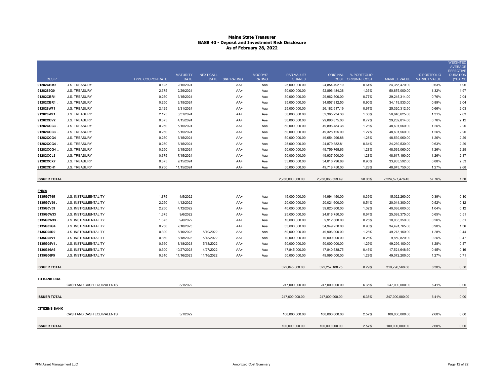|                      |                             |                         | <b>MATURITY</b> | <b>NEXT CALL</b> |                 | MOODYS'       | <b>PAR VALUE/</b> |                   | ORIGINAL % PORTFOLIO |                     | % PORTFOLIO         | <b>WEIGHTED</b><br><b>AVERAGE</b><br><b>EFFECTIVE</b><br><b>DURATION</b> |
|----------------------|-----------------------------|-------------------------|-----------------|------------------|-----------------|---------------|-------------------|-------------------|----------------------|---------------------|---------------------|--------------------------------------------------------------------------|
| CUSIP                |                             | <b>TYPE COUPON RATE</b> | <b>DATE</b>     |                  | DATE S&P RATING | <b>RATING</b> | <b>SHARES</b>     |                   | COST ORIGINAL COST   | <b>MARKET VALUE</b> | <b>MARKET VALUE</b> | (YEARS)                                                                  |
| 91282CBM2            | <b>U.S. TREASURY</b>        | 0.125                   | 2/15/2024       |                  | AA+             | Aaa           | 25,000,000.00     | 24,854,492.19     | 0.64%                | 24,355,470.00       | 0.63%               | 1.96                                                                     |
| 9128286G0            | <b>U.S. TREASURY</b>        | 2.375                   | 2/29/2024       |                  | AA+             | Aaa           | 50,000,000.00     | 52,896,484.38     | 1.36%                | 50,875,000.00       | 1.32%               | 1.97                                                                     |
| 91282CBR1            | <b>U.S. TREASURY</b>        | 0.250                   | 3/15/2024       |                  | AA+             | Aaa           | 30,000,000.00     | 29,962,500.00     | 0.77%                | 29,245,314.00       | 0.76%               | 2.04                                                                     |
| 91282CBR1.           | <b>U.S. TREASURY</b>        | 0.250                   | 3/15/2024       |                  | AA+             | Aaa           | 35,000,000.00     | 34,857,812.50     | 0.90%                | 34,119,533.00       | 0.89%               | 2.04                                                                     |
| 912828W71            | U.S. TREASURY               | 2.125                   | 3/31/2024       |                  | AA+             | Aaa           | 25,000,000.00     | 26, 182, 617. 19  | 0.67%                | 25,320,312.50       | 0.66%               | 2.03                                                                     |
| 912828W71.           | <b>U.S. TREASURY</b>        | 2.125                   | 3/31/2024       |                  | AA+             | Aaa           | 50,000,000.00     | 52,365,234.38     | 1.35%                | 50,640,625.00       | 1.31%               | 2.03                                                                     |
| 91282CBV2            | <b>U.S. TREASURY</b>        | 0.375                   | 4/15/2024       |                  | AA+             | Aaa           | 30,000,000.00     | 29,896,875.00     | 0.77%                | 29,282,814.00       | 0.76%               | 2.12                                                                     |
| 91282CCC3.           | <b>U.S. TREASURY</b>        | 0.250                   | 5/15/2024       |                  | AA+             | Aaa           | 50,000,000.00     | 49,896,484.38     | 1.28%                | 48,601,560.00       | 1.26%               | 2.20                                                                     |
| 91282CCC3            | <b>U.S. TREASURY</b>        | 0.250                   | 5/15/2024       |                  | AA+             | Aaa           | 50,000,000.00     | 49,328,125.00     | 1.27%                | 48,601,560.00       | 1.26%               | 2.20                                                                     |
| 91282CCG4            | <b>U.S. TREASURY</b>        | 0.250                   | 6/15/2024       |                  | AA+             | Aaa           | 50,000,000.00     | 49,654,296.88     | 1.28%                | 48,539,060.00       | 1.26%               | 2.29                                                                     |
| 91282CCG4.           | U.S. TREASURY               | 0.250                   | 6/15/2024       |                  | AA+             | Aaa           | 25,000,000.00     | 24,879,882.81     | 0.64%                | 24,269,530.00       | 0.63%               | 2.29                                                                     |
| 91282CCG4            | <b>U.S. TREASURY</b>        | 0.250                   | 6/15/2024       |                  | AA+             | Aaa           | 50,000,000.00     | 49,759,765.63     | 1.28%                | 48,539,060.00       | 1.26%               | 2.29                                                                     |
| 91282CCL3            | <b>U.S. TREASURY</b>        | 0.375                   | 7/15/2024       |                  | AA+             | Aaa           | 50,000,000.00     | 49,937,500.00     | 1.28%                | 48,617,190.00       | 1.26%               | 2.37                                                                     |
| 91282CCX7            | <b>U.S. TREASURY</b>        | 0.375                   | 9/15/2024       |                  | AA+             | Aaa           | 35,000,000.00     | 34,816,796.88     | 0.90%                | 33,933,592.00       | 0.88%               | 2.53                                                                     |
| 91282CDH1            | <b>U.S. TREASURY</b>        | 0.750                   | 11/15/2024      |                  | AA+             | Aaa           | 50,000,000.00     | 49,718,750.00     | 1.28%                | 48,843,750.00       | 1.27%               | 2.68                                                                     |
| <b>ISSUER TOTAL</b>  |                             |                         |                 |                  |                 |               | 2,236,000,000.00  | 2,258,063,359.49  | 58.06%               | 2,224,527,476.40    | 57.76%              | 1.30                                                                     |
| <b>FNMA</b>          |                             |                         |                 |                  |                 |               |                   |                   |                      |                     |                     |                                                                          |
| 3135G0T45            | U.S. INSTRUMENTALITY        | 1.875                   | 4/5/2022        |                  | AA+             | Aaa           | 15,000,000.00     | 14,994,450.00     | 0.39%                | 15,022,260.00       | 0.39%               | 0.10                                                                     |
| 3135G0V59            | U.S. INSTRUMENTALITY        | 2.250                   | 4/12/2022       |                  | AA+             | Aaa           | 20,000,000.00     | 20,021,600.00     | 0.51%                | 20,044,300.00       | 0.52%               | 0.12                                                                     |
| 3135G0V59            | U.S. INSTRUMENTALITY        | 2.250                   | 4/12/2022       |                  | AA+             | Aaa           | 40,000,000.00     | 39,820,800.00     | 1.02%                | 40,088,600.00       | 1.04%               | 0.12                                                                     |
| 3135G0W33            | U.S. INSTRUMENTALITY        | 1.375                   | 9/6/2022        |                  | AA+             | Aaa           | 25,000,000.00     | 24,816,750.00     | 0.64%                | 25,088,375.00       | 0.65%               | 0.51                                                                     |
| 3135G0W33            | U.S. INSTRUMENTALITY        | 1.375                   | 9/6/2022        |                  | AA+             | Aaa           | 10,000,000.00     | 9,912,800.00      | 0.25%                | 10,035,350.00       | 0.26%               | 0.51                                                                     |
| 3135G05G4            | U.S. INSTRUMENTALITY        | 0.250                   | 7/10/2023       |                  | AA+             | Aaa           | 35,000,000.00     | 34,949,250.00     | 0.90%                | 34,491,765.00       | 0.90%               | 1.36                                                                     |
| 3135G05R0            | U.S. INSTRUMENTALITY        | 0.300                   | 8/10/2023       | 8/10/2022        | AA+             | Aaa           | 50,000,000.00     | 49,906,000.00     | 1.28%                | 49,273,150.00       | 1.28%               | 0.44                                                                     |
| 3135G05V1            | U.S. INSTRUMENTALITY        | 0.360                   | 8/18/2023       | 5/18/2022        | AA+             | Aaa           | 10,000,000.00     | 10,000,000.00     | 0.26%                | 9,859,820.00        | 0.26%               | 0.47                                                                     |
| 3135G05V1            | U.S. INSTRUMENTALITY        | 0.360                   | 8/18/2023       | 5/18/2022        | AA+             | Aaa           | 50,000,000.00     | 50,000,000.00     | 1.29%                | 49,299,100.00       | 1.28%               | 0.47                                                                     |
| 3136G46A6            | <b>U.S. INSTRUMENTALITY</b> | 0.300                   | 10/27/2023      | 4/27/2022        | AA+             | Aaa           | 17,845,000.00     | 17,840,538.75     | 0.46%                | 17,521,648.60       | 0.45%               | 0.16                                                                     |
| 3135G06F5            | U.S. INSTRUMENTALITY        | 0.310                   | 11/16/2023      | 11/16/2022       | AA+             | Aaa           | 50,000,000.00     | 49,995,000.00     | 1.29%                | 49,072,200.00       | 1.27%               | 0.71                                                                     |
| <b>ISSUER TOTAL</b>  |                             |                         |                 |                  |                 |               | 322,845,000.00    | 322, 257, 188. 75 | 8.29%                | 319,796,568.60      | 8.30%               | 0.50                                                                     |
| <b>TD BANK DDA</b>   | CASH AND CASH EQUIVALENTS   |                         | 3/1/2022        |                  |                 |               | 247.000.000.00    | 247.000.000.00    | 6.35%                | 247.000.000.00      | 6.41%               | 0.00                                                                     |
| <b>ISSUER TOTAL</b>  |                             |                         |                 |                  |                 |               | 247,000,000.00    | 247,000,000.00    | 6.35%                | 247,000,000.00      | 6.41%               | 0.00                                                                     |
| <b>CITIZENS BANK</b> | CASH AND CASH EQUIVALENTS   |                         | 3/1/2022        |                  |                 |               | 100,000,000.00    | 100,000,000.00    | 2.57%                | 100,000,000.00      | 2.60%               | 0.00                                                                     |
| <b>ISSUER TOTAL</b>  |                             |                         |                 |                  |                 |               | 100,000,000.00    | 100,000,000.00    | 2.57%                | 100,000,000.00      | 2.60%               | 0.00                                                                     |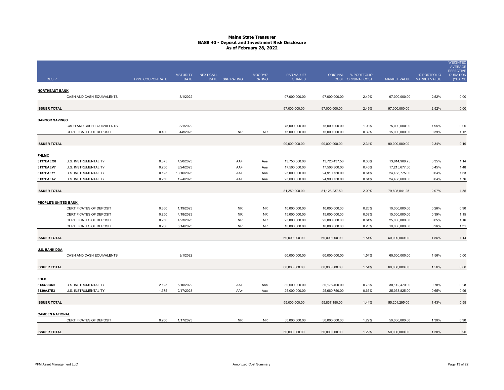| <b>CUSIP</b>              |                                | TYPE COUPON RATE | <b>MATURITY</b><br><b>DATE</b> | <b>NEXT CALL</b><br>DATE S&P RATING |            | MOODYS'<br><b>RATING</b> | PAR VALUE/<br><b>SHARES</b> |               | ORIGINAL % PORTFOLIO<br>COST ORIGINAL COST | MARKET VALUE MARKET VALUE      | % PORTFOLIO | <b>WEIGHTED</b><br><b>AVERAGE</b><br><b>EFFECTIVE</b><br><b>DURATION</b><br>(YEARS) |
|---------------------------|--------------------------------|------------------|--------------------------------|-------------------------------------|------------|--------------------------|-----------------------------|---------------|--------------------------------------------|--------------------------------|-------------|-------------------------------------------------------------------------------------|
|                           |                                |                  |                                |                                     |            |                          |                             |               |                                            |                                |             |                                                                                     |
| <b>NORTHEAST BANK</b>     | CASH AND CASH EQUIVALENTS      |                  | 3/1/2022                       |                                     |            |                          | 97,000,000.00               | 97,000,000.00 | 2.49%                                      | 97,000,000.00                  | 2.52%       | 0.00                                                                                |
|                           |                                |                  |                                |                                     |            |                          |                             |               |                                            |                                |             |                                                                                     |
| <b>ISSUER TOTAL</b>       |                                |                  |                                |                                     |            |                          | 97,000,000.00               | 97,000,000.00 | 2.49%                                      | 97,000,000.00                  | 2.52%       | 0.00                                                                                |
| <b>BANGOR SAVINGS</b>     |                                |                  |                                |                                     |            |                          |                             |               |                                            |                                |             |                                                                                     |
|                           | CASH AND CASH EQUIVALENTS      |                  | 3/1/2022                       |                                     |            |                          | 75,000,000.00               | 75,000,000.00 | 1.93%                                      | 75,000,000.00                  | 1.95%       | 0.00                                                                                |
|                           | CERTIFICATES OF DEPOSIT        | 0.400            | 4/8/2023                       |                                     | <b>NR</b>  | <b>NR</b>                | 15,000,000.00               | 15,000,000.00 | 0.39%                                      | 15,000,000.00                  | 0.39%       | 1.12                                                                                |
| <b>ISSUER TOTAL</b>       |                                |                  |                                |                                     |            |                          | 90,000,000.00               | 90,000,000.00 | 2.31%                                      | 90,000,000.00                  | 2.34%       | 0.19                                                                                |
|                           |                                |                  |                                |                                     |            |                          |                             |               |                                            |                                |             |                                                                                     |
| <b>FHLMC</b><br>3137EAEQ8 | U.S. INSTRUMENTALITY           | 0.375            | 4/20/2023                      |                                     |            |                          | 13,750,000.00               | 13,720,437.50 | 0.35%                                      |                                | 0.35%       |                                                                                     |
| 3137EAEV7                 | U.S. INSTRUMENTALITY           | 0.250            | 8/24/2023                      |                                     | AA+<br>AA+ | Aaa<br>Aaa               | 17,500,000.00               | 17,506,300.00 | 0.45%                                      | 13,614,988.75<br>17,215,677.50 | 0.45%       | 1.14<br>1.48                                                                        |
| 3137EAEY1                 | U.S. INSTRUMENTALITY           | 0.125            | 10/16/2023                     |                                     | AA+        | Aaa                      | 25,000,000.00               | 24,910,750.00 | 0.64%                                      | 24,488,775.00                  | 0.64%       | 1.63                                                                                |
| 3137EAFA2                 | U.S. INSTRUMENTALITY           | 0.250            | 12/4/2023                      |                                     | AA+        | Aaa                      | 25,000,000.00               | 24,990,750.00 | 0.64%                                      | 24,488,600.00                  | 0.64%       | 1.76                                                                                |
|                           |                                |                  |                                |                                     |            |                          |                             |               |                                            |                                |             |                                                                                     |
| <b>ISSUER TOTAL</b>       |                                |                  |                                |                                     |            |                          | 81,250,000.00               | 81,128,237.50 | 2.09%                                      | 79,808,041.25                  | 2.07%       | 1.55                                                                                |
| PEOPLE'S UNITED BANK      |                                |                  |                                |                                     |            |                          |                             |               |                                            |                                |             |                                                                                     |
|                           | <b>CERTIFICATES OF DEPOSIT</b> | 0.350            | 1/19/2023                      |                                     | <b>NR</b>  | <b>NR</b>                | 10,000,000.00               | 10,000,000.00 | 0.26%                                      | 10,000,000.00                  | 0.26%       | 0.90                                                                                |
|                           | <b>CERTIFICATES OF DEPOSIT</b> | 0.250            | 4/18/2023                      |                                     | <b>NR</b>  | <b>NR</b>                | 15,000,000.00               | 15,000,000.00 | 0.39%                                      | 15,000,000.00                  | 0.39%       | 1.15                                                                                |
|                           | CERTIFICATES OF DEPOSIT        | 0.250            | 4/23/2023                      |                                     | <b>NR</b>  | <b>NR</b>                | 25,000,000.00               | 25,000,000.00 | 0.64%                                      | 25,000,000.00                  | 0.65%       | 1.16                                                                                |
|                           | CERTIFICATES OF DEPOSIT        | 0.200            | 6/14/2023                      |                                     | <b>NR</b>  | <b>NR</b>                | 10,000,000.00               | 10,000,000.00 | 0.26%                                      | 10,000,000.00                  | 0.26%       | 1.31                                                                                |
| <b>ISSUER TOTAL</b>       |                                |                  |                                |                                     |            |                          | 60,000,000.00               | 60,000,000.00 | 1.54%                                      | 60,000,000.00                  | 1.56%       | 1.14                                                                                |
| <b>U.S. BANK DDA</b>      |                                |                  |                                |                                     |            |                          |                             |               |                                            |                                |             |                                                                                     |
|                           | CASH AND CASH EQUIVALENTS      |                  | 3/1/2022                       |                                     |            |                          | 60,000,000.00               | 60,000,000.00 | 1.54%                                      | 60,000,000.00                  | 1.56%       | 0.00                                                                                |
|                           |                                |                  |                                |                                     |            |                          |                             |               |                                            |                                |             |                                                                                     |
| <b>ISSUER TOTAL</b>       |                                |                  |                                |                                     |            |                          | 60,000,000.00               | 60,000,000.00 | 1.54%                                      | 60,000,000.00                  | 1.56%       | 0.00                                                                                |
| <u>FHLB</u>               |                                |                  |                                |                                     |            |                          |                             |               |                                            |                                |             |                                                                                     |
| 313379Q69                 | U.S. INSTRUMENTALITY           | 2.125            | 6/10/2022                      |                                     | AA+        | Aaa                      | 30,000,000.00               | 30,176,400.00 | 0.78%                                      | 30,142,470.00                  | 0.78%       | 0.28                                                                                |
| 3130AJ7E3                 | <b>U.S. INSTRUMENTALITY</b>    | 1.375            | 2/17/2023                      |                                     | AA+        | Aaa                      | 25,000,000.00               | 25,660,750.00 | 0.66%                                      | 25,058,825.00                  | 0.65%       | 0.96                                                                                |
| <b>ISSUER TOTAL</b>       |                                |                  |                                |                                     |            |                          | 55,000,000.00               | 55,837,150.00 | 1.44%                                      | 55,201,295.00                  | 1.43%       | 0.59                                                                                |
|                           |                                |                  |                                |                                     |            |                          |                             |               |                                            |                                |             |                                                                                     |
| <b>CAMDEN NATIONAL</b>    | CERTIFICATES OF DEPOSIT        | 0.200            | 1/17/2023                      |                                     | <b>NR</b>  | <b>NR</b>                | 50,000,000.00               | 50,000,000.00 | 1.29%                                      | 50,000,000.00                  | 1.30%       | 0.90                                                                                |
|                           |                                |                  |                                |                                     |            |                          |                             |               |                                            |                                |             |                                                                                     |
| <b>ISSUER TOTAL</b>       |                                |                  |                                |                                     |            |                          | 50,000,000.00               | 50,000,000.00 | 1.29%                                      | 50,000,000.00                  | 1.30%       | 0.90                                                                                |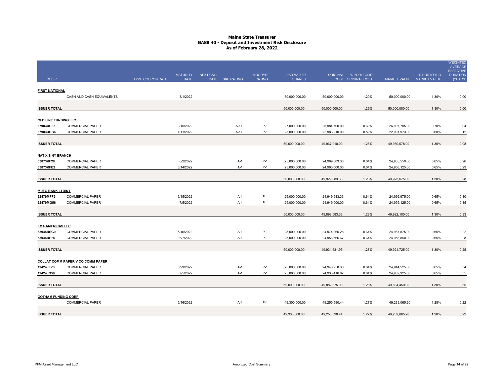|                                      |                                          |                  |                                |                  |                 |                          |                             |               |                                            |               |                                          | <b>WEIGHTED</b><br><b>AVERAGE</b><br><b>EFFECTIVE</b> |
|--------------------------------------|------------------------------------------|------------------|--------------------------------|------------------|-----------------|--------------------------|-----------------------------|---------------|--------------------------------------------|---------------|------------------------------------------|-------------------------------------------------------|
| <b>CUSIP</b>                         |                                          | TYPE COUPON RATE | <b>MATURITY</b><br><b>DATE</b> | <b>NEXT CALL</b> | DATE S&P RATING | MOODYS'<br><b>RATING</b> | PAR VALUE/<br><b>SHARES</b> |               | ORIGINAL % PORTFOLIO<br>COST ORIGINAL COST |               | % PORTFOLIO<br>MARKET VALUE MARKET VALUE | <b>DURATION</b><br>(YEARS)                            |
|                                      |                                          |                  |                                |                  |                 |                          |                             |               |                                            |               |                                          |                                                       |
| <b>FIRST NATIONAL</b>                | CASH AND CASH EQUIVALENTS                |                  | 3/1/2022                       |                  |                 |                          | 50,000,000.00               | 50,000,000.00 | 1.29%                                      | 50,000,000.00 | 1.30%                                    | 0.00                                                  |
|                                      |                                          |                  |                                |                  |                 |                          |                             |               |                                            |               |                                          |                                                       |
| <b>ISSUER TOTAL</b>                  |                                          |                  |                                |                  |                 |                          | 50,000,000.00               | 50,000,000.00 | 1.29%                                      | 50,000,000.00 | 1.30%                                    | 0.00                                                  |
| OLD LINE FUNDING LLC                 |                                          |                  |                                |                  |                 |                          |                             |               |                                            |               |                                          |                                                       |
| 67983UCF8                            | <b>COMMERCIAL PAPER</b>                  |                  | 3/15/2022                      |                  | $A-1+$          | $P-1$                    | 27,000,000.00               | 26,984,700.00 | 0.69%                                      | 26,997,705.00 | 0.70%                                    | 0.04                                                  |
| 67983UDB6                            | <b>COMMERCIAL PAPER</b>                  |                  | 4/11/2022                      |                  | $A-1+$          | $P-1$                    | 23,000,000.00               | 22,983,210.00 | 0.59%                                      | 22,991,973.00 | 0.60%                                    | 0.12                                                  |
|                                      |                                          |                  |                                |                  |                 |                          |                             |               |                                            |               |                                          |                                                       |
| <b>ISSUER TOTAL</b>                  |                                          |                  |                                |                  |                 |                          | 50,000,000.00               | 49,967,910.00 | 1.28%                                      | 49,989,678.00 | 1.30%                                    | 0.08                                                  |
| <b>NATIXIS NY BRANCH</b>             |                                          |                  |                                |                  |                 |                          |                             |               |                                            |               |                                          |                                                       |
| 63873KF28                            | <b>COMMERCIAL PAPER</b>                  |                  | 6/2/2022                       |                  | $A-1$           | $P-1$                    | 25,000,000.00               | 24,969,083.33 | 0.64%                                      | 24,965,550.00 | 0.65%                                    | 0.26                                                  |
| 63873KFE2                            | <b>COMMERCIAL PAPER</b>                  |                  | 6/14/2022                      |                  | A-1             | $P-1$                    | 25,000,000.00               | 24,960,000.00 | 0.64%                                      | 24,958,125.00 | 0.65%                                    | 0.29                                                  |
| <b>ISSUER TOTAL</b>                  |                                          |                  |                                |                  |                 |                          | 50,000,000.00               | 49,929,083.33 | 1.28%                                      | 49,923,675.00 | 1.30%                                    | 0.28                                                  |
|                                      |                                          |                  |                                |                  |                 |                          |                             |               |                                            |               |                                          |                                                       |
| <b>MUFG BANK LTD/NY</b>              |                                          |                  |                                |                  |                 |                          |                             |               |                                            |               |                                          |                                                       |
| 62479MFF5                            | <b>COMMERCIAL PAPER</b>                  |                  | 6/15/2022                      |                  | $A-1$           | $P-1$                    | 25,000,000.00               | 24,949,583.33 | 0.64%                                      | 24,966,975.00 | 0.65%                                    | 0.30                                                  |
| 62479MG56                            | <b>COMMERCIAL PAPER</b>                  |                  | 7/5/2022                       |                  | A-1             | $P-1$                    | 25,000,000.00               | 24,949,000.00 | 0.64%                                      | 24,955,125.00 | 0.65%                                    | 0.35                                                  |
| <b>ISSUER TOTAL</b>                  |                                          |                  |                                |                  |                 |                          | 50,000,000.00               | 49,898,583.33 | 1.28%                                      | 49,922,100.00 | 1.30%                                    | 0.33                                                  |
|                                      |                                          |                  |                                |                  |                 |                          |                             |               |                                            |               |                                          |                                                       |
| <b>LMA AMERICAS LLC</b><br>53944REG9 | <b>COMMERCIAL PAPER</b>                  |                  | 5/16/2022                      |                  | $A-1$           | $P-1$                    | 25,000,000.00               | 24,974,965.28 | 0.64%                                      | 24,967,875.00 | 0.65%                                    | 0.22                                                  |
| 53944RF78                            | <b>COMMERCIAL PAPER</b>                  |                  | 6/7/2022                       |                  | A-1             | $P-1$                    | 25,000,000.00               | 24,956,666.67 | 0.64%                                      | 24,953,850.00 | 0.65%                                    | 0.28                                                  |
|                                      |                                          |                  |                                |                  |                 |                          |                             |               |                                            |               |                                          |                                                       |
| <b>ISSUER TOTAL</b>                  |                                          |                  |                                |                  |                 |                          | 50,000,000.00               | 49,931,631.95 | 1.28%                                      | 49,921,725.00 | 1.30%                                    | 0.25                                                  |
|                                      | <b>COLLAT COMM PAPER V CO COMM PAPER</b> |                  |                                |                  |                 |                          |                             |               |                                            |               |                                          |                                                       |
| 19424JFV3                            | <b>COMMERCIAL PAPER</b>                  |                  | 6/29/2022                      |                  | $A-1$           | $P-1$                    | 25,000,000.00               | 24,948,958.33 | 0.64%                                      | 24,944,525.00 | 0.65%                                    | 0.34                                                  |
| 19424JG59                            | <b>COMMERCIAL PAPER</b>                  |                  | 7/5/2022                       |                  | A-1             | $P-1$                    | 25,000,000.00               | 24,933,416.67 | 0.64%                                      | 24,939,925.00 | 0.65%                                    | 0.35                                                  |
|                                      |                                          |                  |                                |                  |                 |                          |                             |               |                                            |               |                                          |                                                       |
| <b>ISSUER TOTAL</b>                  |                                          |                  |                                |                  |                 |                          | 50,000,000.00               | 49,882,375.00 | 1.28%                                      | 49,884,450.00 | 1.30%                                    | 0.35                                                  |
| <b>GOTHAM FUNDING CORP</b>           |                                          |                  |                                |                  |                 |                          |                             |               |                                            |               |                                          |                                                       |
|                                      | <b>COMMERCIAL PAPER</b>                  |                  | 5/16/2022                      |                  | A-1             | P-1                      | 49.300.000.00               | 49,250,590.44 | 1.27%                                      | 49,239,065.20 | 1.28%                                    | 0.22                                                  |
| <b>ISSUER TOTAL</b>                  |                                          |                  |                                |                  |                 |                          | 49,300,000.00               | 49,250,590.44 | 1.27%                                      | 49.239.065.20 | 1.28%                                    | 0.22                                                  |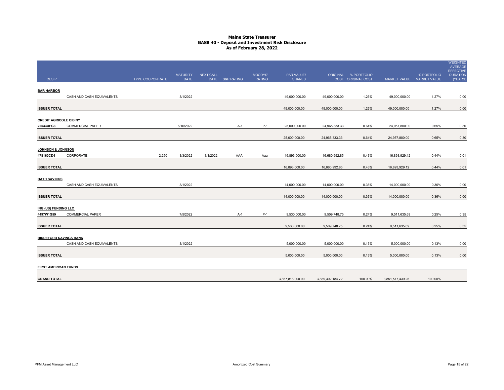|                                            |                           |                  | <b>MATURITY</b> | NEXT CALL |                 | MOODYS'       | PAR VALUE/       |                  | ORIGINAL % PORTFOLIO |                           | % PORTFOLIO | WEIGHTED<br><b>AVERAGE</b><br><b>EFFECTIVE</b><br><b>DURATION</b> |
|--------------------------------------------|---------------------------|------------------|-----------------|-----------|-----------------|---------------|------------------|------------------|----------------------|---------------------------|-------------|-------------------------------------------------------------------|
| <b>CUSIP</b>                               |                           | TYPE COUPON RATE | <b>DATE</b>     |           | DATE S&P RATING | <b>RATING</b> | <b>SHARES</b>    |                  | COST ORIGINAL COST   | MARKET VALUE MARKET VALUE |             | (YEARS                                                            |
| <b>BAR HARBOR</b>                          |                           |                  |                 |           |                 |               |                  |                  |                      |                           |             |                                                                   |
|                                            | CASH AND CASH EQUIVALENTS |                  | 3/1/2022        |           |                 |               | 49,000,000.00    | 49,000,000.00    | 1.26%                | 49,000,000.00             | 1.27%       | 0.00                                                              |
|                                            |                           |                  |                 |           |                 |               |                  |                  |                      |                           |             |                                                                   |
| <b>ISSUER TOTAL</b>                        |                           |                  |                 |           |                 |               | 49,000,000.00    | 49,000,000.00    | 1.26%                | 49,000,000.00             | 1.27%       | 0.00                                                              |
|                                            |                           |                  |                 |           |                 |               |                  |                  |                      |                           |             |                                                                   |
| <b>CREDIT AGRICOLE CIB NY</b><br>22533UFG3 | <b>COMMERCIAL PAPER</b>   |                  | 6/16/2022       |           |                 | P-1           |                  | 24,965,333.33    | 0.64%                |                           | 0.65%       |                                                                   |
|                                            |                           |                  |                 |           | A-1             |               | 25,000,000.00    |                  |                      | 24,957,800.00             |             | 0.30                                                              |
| <b>ISSUER TOTAL</b>                        |                           |                  |                 |           |                 |               | 25,000,000.00    | 24,965,333.33    | 0.64%                | 24,957,800.00             | 0.65%       | 0.30                                                              |
|                                            |                           |                  |                 |           |                 |               |                  |                  |                      |                           |             |                                                                   |
| <b>JOHNSON &amp; JOHNSON</b>               |                           |                  |                 |           |                 |               |                  |                  |                      |                           |             |                                                                   |
| 478160CD4                                  | CORPORATE                 | 2.250            | 3/3/2022        | 3/1/2022  | AAA             | Aaa           | 16,893,000.00    | 16,680,992.85    | 0.43%                | 16,893,929.12             | 0.44%       | 0.01                                                              |
|                                            |                           |                  |                 |           |                 |               |                  |                  |                      |                           |             |                                                                   |
| <b>ISSUER TOTAL</b>                        |                           |                  |                 |           |                 |               | 16,893,000.00    | 16,680,992.85    | 0.43%                | 16,893,929.12             | 0.44%       | 0.01                                                              |
| <b>BATH SAVINGS</b>                        |                           |                  |                 |           |                 |               |                  |                  |                      |                           |             |                                                                   |
|                                            | CASH AND CASH EQUIVALENTS |                  | 3/1/2022        |           |                 |               | 14,000,000.00    | 14,000,000.00    | 0.36%                | 14,000,000.00             | 0.36%       | 0.00                                                              |
|                                            |                           |                  |                 |           |                 |               |                  |                  |                      |                           |             |                                                                   |
| <b>ISSUER TOTAL</b>                        |                           |                  |                 |           |                 |               | 14,000,000.00    | 14,000,000.00    | 0.36%                | 14,000,000.00             | 0.36%       | 0.00                                                              |
|                                            |                           |                  |                 |           |                 |               |                  |                  |                      |                           |             |                                                                   |
| ING (US) FUNDING LLC                       |                           |                  |                 |           |                 |               |                  |                  |                      |                           |             |                                                                   |
| 4497W1G59                                  | <b>COMMERCIAL PAPER</b>   |                  | 7/5/2022        |           | A-1             | $P-1$         | 9,530,000.00     | 9,509,748.75     | 0.24%                | 9,511,635.69              | 0.25%       | 0.35                                                              |
| <b>ISSUER TOTAL</b>                        |                           |                  |                 |           |                 |               | 9,530,000.00     | 9,509,748.75     | 0.24%                | 9,511,635.69              | 0.25%       | 0.35                                                              |
|                                            |                           |                  |                 |           |                 |               |                  |                  |                      |                           |             |                                                                   |
| <b>BIDDEFORD SAVINGS BANK</b>              |                           |                  |                 |           |                 |               |                  |                  |                      |                           |             |                                                                   |
|                                            | CASH AND CASH EQUIVALENTS |                  | 3/1/2022        |           |                 |               | 5,000,000.00     | 5,000,000.00     | 0.13%                | 5,000,000.00              | 0.13%       | 0.00                                                              |
|                                            |                           |                  |                 |           |                 |               |                  |                  |                      |                           |             |                                                                   |
| <b>ISSUER TOTAL</b>                        |                           |                  |                 |           |                 |               | 5,000,000.00     | 5,000,000.00     | 0.13%                | 5,000,000.00              | 0.13%       | 0.00                                                              |
| <b>FIRST AMERICAN FUNDS</b>                |                           |                  |                 |           |                 |               |                  |                  |                      |                           |             |                                                                   |
|                                            |                           |                  |                 |           |                 |               |                  |                  |                      |                           |             |                                                                   |
| <b>GRAND TOTAL</b>                         |                           |                  |                 |           |                 |               | 3,867,818,000.00 | 3,889,302,184.72 | 100.00%              | 3,851,577,439.26          | 100.00%     |                                                                   |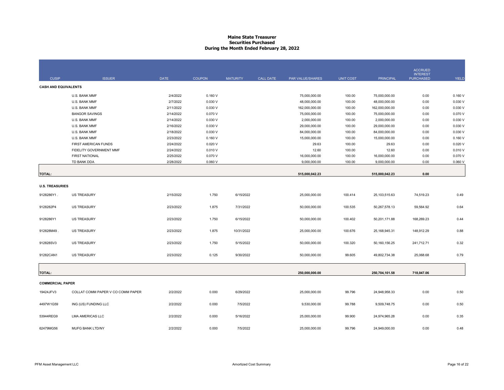#### **Maine State Treasurer Securities PurchasedDuring the Month Ended February 28, 2022**

|                             |                                   |             |               |                 |                  |                  |                  |                  | <b>ACCRUED</b>   |              |
|-----------------------------|-----------------------------------|-------------|---------------|-----------------|------------------|------------------|------------------|------------------|------------------|--------------|
|                             |                                   |             |               |                 |                  |                  |                  |                  | <b>INTEREST</b>  |              |
| <b>CUSIP</b>                | <b>ISSUER</b>                     | <b>DATE</b> | <b>COUPON</b> | <b>MATURITY</b> | <b>CALL DATE</b> | PAR VALUE/SHARES | <b>UNIT COST</b> | <b>PRINCIPAL</b> | <b>PURCHASED</b> | <b>YIELD</b> |
| <b>CASH AND EQUIVALENTS</b> |                                   |             |               |                 |                  |                  |                  |                  |                  |              |
|                             | U.S. BANK MMF                     | 2/4/2022    | 0.160V        |                 |                  | 75,000,000.00    | 100.00           | 75,000,000.00    | 0.00             | 0.160V       |
|                             | U.S. BANK MMF                     | 2/7/2022    | 0.030 V       |                 |                  | 48,000,000.00    | 100.00           | 48,000,000.00    | 0.00             | 0.030 V      |
|                             | U.S. BANK MMF                     | 2/11/2022   | 0.030 V       |                 |                  | 162,000,000.00   | 100.00           | 162,000,000.00   | 0.00             | 0.030V       |
|                             | <b>BANGOR SAVINGS</b>             | 2/14/2022   | 0.070 V       |                 |                  | 75,000,000.00    | 100.00           | 75,000,000.00    | 0.00             | 0.070 V      |
|                             | U.S. BANK MMF                     | 2/14/2022   | 0.030 V       |                 |                  | 2,000,000.00     | 100.00           | 2,000,000.00     | 0.00             | 0.030 V      |
|                             | U.S. BANK MMF                     | 2/16/2022   | 0.030 V       |                 |                  | 29,000,000.00    | 100.00           | 29,000,000.00    | 0.00             | 0.030 V      |
|                             | U.S. BANK MMF                     | 2/18/2022   | 0.030 V       |                 |                  | 84,000,000.00    | 100.00           | 84,000,000.00    | 0.00             | 0.030 V      |
|                             | U.S. BANK MMF                     | 2/23/2022   | 0.160V        |                 |                  | 15,000,000.00    | 100.00           | 15,000,000.00    | 0.00             | 0.160V       |
|                             | FIRST AMERICAN FUNDS              | 2/24/2022   | 0.020V        |                 |                  | 29.63            | 100.00           | 29.63            | 0.00             | 0.020V       |
|                             | FIDELITY GOVERNMENT MMF           | 2/24/2022   | 0.010V        |                 |                  | 12.60            | 100.00           | 12.60            | 0.00             | 0.010V       |
|                             | <b>FIRST NATIONAL</b>             | 2/25/2022   | 0.070 V       |                 |                  | 16,000,000.00    | 100.00           | 16,000,000.00    | 0.00             | 0.070 V      |
|                             | TD BANK DDA                       | 2/28/2022   | 0.060V        |                 |                  | 9,000,000.00     | 100.00           | 9,000,000.00     | 0.00             | 0.060V       |
|                             |                                   |             |               |                 |                  |                  |                  |                  |                  |              |
| <b>TOTAL:</b>               |                                   |             |               |                 |                  | 515,000,042.23   |                  | 515,000,042.23   | 0.00             |              |
|                             |                                   |             |               |                 |                  |                  |                  |                  |                  |              |
| <b>U.S. TREASURIES</b>      |                                   |             |               |                 |                  |                  |                  |                  |                  |              |
| 9128286Y1.                  | <b>US TREASURY</b>                | 2/15/2022   | 1.750         | 6/15/2022       |                  | 25,000,000.00    | 100.414          | 25,103,515.63    | 74,519.23        | 0.49         |
|                             |                                   |             |               |                 |                  |                  |                  |                  |                  |              |
| 9128282P4                   | <b>US TREASURY</b>                | 2/23/2022   | 1.875         | 7/31/2022       |                  | 50,000,000.00    | 100.535          | 50,267,578.13    | 59,564.92        | 0.64         |
| 9128286Y1                   | <b>US TREASURY</b>                | 2/23/2022   | 1.750         | 6/15/2022       |                  | 50,000,000.00    | 100.402          | 50,201,171.88    | 168,269.23       | 0.44         |
|                             |                                   |             |               |                 |                  |                  |                  |                  |                  |              |
| 912828M49.                  | <b>US TREASURY</b>                | 2/23/2022   | 1.875         | 10/31/2022      |                  | 25,000,000.00    | 100.676          | 25, 168, 945. 31 | 148,912.29       | 0.88         |
|                             |                                   |             |               |                 |                  |                  |                  |                  |                  |              |
| 912828SV3                   | <b>US TREASURY</b>                | 2/23/2022   | 1.750         | 5/15/2022       |                  | 50,000,000.00    | 100.320          | 50,160,156.25    | 241,712.71       | 0.32         |
|                             |                                   |             |               |                 |                  |                  |                  |                  |                  |              |
| 91282CAN1                   | <b>US TREASURY</b>                | 2/23/2022   | 0.125         | 9/30/2022       |                  | 50,000,000.00    | 99.605           | 49,802,734.38    | 25,068.68        | 0.79         |
|                             |                                   |             |               |                 |                  |                  |                  |                  |                  |              |
| <b>TOTAL:</b>               |                                   |             |               |                 |                  | 250,000,000.00   |                  | 250,704,101.58   | 718,047.06       |              |
|                             |                                   |             |               |                 |                  |                  |                  |                  |                  |              |
| <b>COMMERCIAL PAPER</b>     |                                   |             |               |                 |                  |                  |                  |                  |                  |              |
| 19424JFV3                   | COLLAT COMM PAPER V CO COMM PAPER | 2/2/2022    | 0.000         | 6/29/2022       |                  | 25,000,000.00    | 99.796           | 24,948,958.33    | 0.00             | 0.50         |
|                             |                                   |             |               |                 |                  |                  |                  |                  |                  |              |
| 4497W1G59                   | ING (US) FUNDING LLC              | 2/2/2022    | 0.000         | 7/5/2022        |                  | 9,530,000.00     | 99.788           | 9,509,748.75     | 0.00             | 0.50         |
|                             |                                   |             |               |                 |                  |                  |                  |                  |                  |              |
| 53944REG9                   | <b>LMA AMERICAS LLC</b>           | 2/2/2022    | 0.000         | 5/16/2022       |                  | 25,000,000.00    | 99.900           | 24,974,965.28    | 0.00             | 0.35         |
|                             |                                   |             |               |                 |                  |                  |                  |                  |                  |              |
| 62479MG56                   | MUFG BANK LTD/NY                  | 2/2/2022    | 0.000         | 7/5/2022        |                  | 25,000,000.00    | 99.796           | 24,949,000.00    | 0.00             | 0.48         |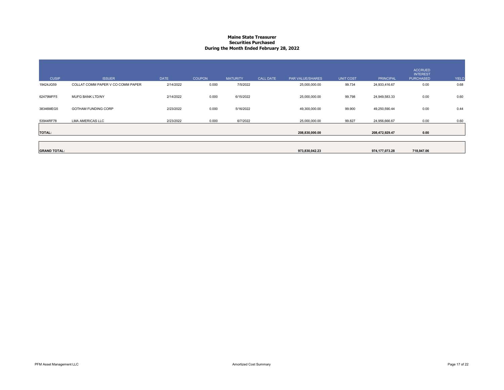#### **Maine State Treasurer Securities PurchasedDuring the Month Ended February 28, 2022**

|                     |                                   |             |               |                 |                  |                  |                  |                  | <b>ACCRUED</b><br><b>INTEREST</b> |       |
|---------------------|-----------------------------------|-------------|---------------|-----------------|------------------|------------------|------------------|------------------|-----------------------------------|-------|
| <b>CUSIP</b>        | <b>ISSUER</b>                     | <b>DATE</b> | <b>COUPON</b> | <b>MATURITY</b> | <b>CALL DATE</b> | PAR VALUE/SHARES | <b>UNIT COST</b> | <b>PRINCIPAL</b> | <b>PURCHASED</b>                  | YIELD |
| 19424JG59           | COLLAT COMM PAPER V CO COMM PAPER | 2/14/2022   | 0.000         | 7/5/2022        |                  | 25,000,000.00    | 99.734           | 24,933,416.67    | 0.00                              | 0.68  |
| 62479MFF5           | MUFG BANK LTD/NY                  | 2/14/2022   | 0.000         | 6/15/2022       |                  | 25,000,000.00    | 99.798           | 24,949,583.33    | 0.00                              | 0.60  |
| 38346MEG5           | <b>GOTHAM FUNDING CORP</b>        | 2/23/2022   | 0.000         | 5/16/2022       |                  | 49,300,000.00    | 99.900           | 49,250,590.44    | 0.00                              | 0.44  |
| 53944RF78           | <b>LMA AMERICAS LLC</b>           | 2/23/2022   | 0.000         | 6/7/2022        |                  | 25,000,000.00    | 99.827           | 24,956,666.67    | 0.00                              | 0.60  |
| <b>TOTAL:</b>       |                                   |             |               |                 |                  | 208,830,000.00   |                  | 208,472,929.47   | 0.00                              |       |
|                     |                                   |             |               |                 |                  |                  |                  |                  |                                   |       |
| <b>GRAND TOTAL:</b> |                                   |             |               |                 |                  | 973,830,042.23   |                  | 974,177,073.28   | 718,047.06                        |       |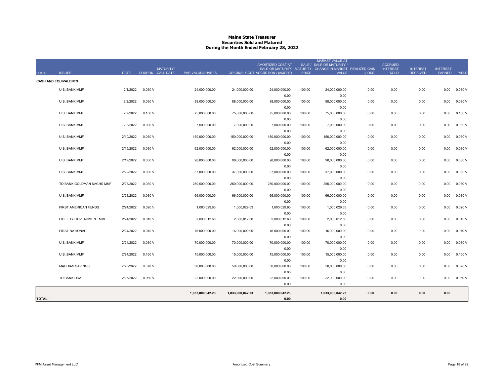#### **Maine State Treasurer Securities Sold and MaturedDuring the Month Ended February 28, 2022**

| <b>CUSIP</b>  | <b>ISSUER</b>               | <b>DATE</b> | <b>MATURITY/</b><br>COUPON CALL DATE | PAR VALUE/SHARES |                  | AMORTIZED COST AT<br>ORIGINAL COST ACCRETION / (AMORT) | <b>PRICE</b> | <b>MARKET VALUE AT</b><br>SALE / SALE OR MATURITY /<br>SALE OR MATURITY MATURITY CHANGE IN MARKET REALIZED GAIN<br><b>VALUE</b> | (LOSS) | <b>ACCRUED</b><br><b>INTEREST</b><br><b>SOLD</b> | <b>INTEREST</b><br><b>RECEIVED</b> | <b>INTEREST</b><br>EARNED | YIELD   |
|---------------|-----------------------------|-------------|--------------------------------------|------------------|------------------|--------------------------------------------------------|--------------|---------------------------------------------------------------------------------------------------------------------------------|--------|--------------------------------------------------|------------------------------------|---------------------------|---------|
|               | <b>CASH AND EQUIVALENTS</b> |             |                                      |                  |                  |                                                        |              |                                                                                                                                 |        |                                                  |                                    |                           |         |
|               | U.S. BANK MMF               | 2/1/2022    | 0.030 V                              | 24,000,000.00    | 24,000,000.00    | 24,000,000.00                                          | 100.00       | 24,000,000.00                                                                                                                   | 0.00   | 0.00                                             | 0.00                               | 0.00                      | 0.030 V |
|               | U.S. BANK MMF               | 2/2/2022    | 0.030 V                              | 88,000,000.00    | 88,000,000.00    | 0.00<br>88,000,000.00                                  | 100.00       | 0.00<br>88,000,000.00                                                                                                           | 0.00   | 0.00                                             | 0.00                               | 0.00                      | 0.030 V |
|               |                             |             |                                      |                  |                  | 0.00                                                   |              | 0.00                                                                                                                            |        |                                                  |                                    |                           |         |
|               | U.S. BANK MMF               | 2/7/2022    | 0.160V                               | 75,000,000.00    | 75,000,000.00    | 75,000,000.00                                          | 100.00       | 75,000,000.00                                                                                                                   | 0.00   | 0.00                                             | 0.00                               | 0.00                      | 0.160V  |
|               | U.S. BANK MMF               | 2/8/2022    | 0.030 V                              | 7,000,000.00     | 7,000,000.00     | 0.00<br>7,000,000.00                                   | 100.00       | 0.00<br>7,000,000.00                                                                                                            | 0.00   | 0.00                                             | 0.00                               | 0.00                      | 0.030V  |
|               |                             |             |                                      |                  |                  | 0.00                                                   |              | 0.00                                                                                                                            |        |                                                  |                                    |                           |         |
|               | U.S. BANK MMF               | 2/10/2022   | 0.030 V                              | 150,000,000.00   | 150,000,000.00   | 150,000,000.00                                         | 100.00       | 150,000,000.00                                                                                                                  | 0.00   | 0.00                                             | 0.00                               | 0.00                      | 0.030 V |
|               |                             |             |                                      |                  |                  | 0.00                                                   |              | 0.00                                                                                                                            |        |                                                  |                                    |                           |         |
|               | <b>U.S. BANK MMF</b>        | 2/15/2022   | 0.030 V                              | 62,000,000.00    | 62,000,000.00    | 62,000,000.00                                          | 100.00       | 62,000,000.00                                                                                                                   | 0.00   | 0.00                                             | 0.00                               | 0.00                      | 0.030 V |
|               |                             |             |                                      |                  |                  | 0.00                                                   |              | 0.00                                                                                                                            |        |                                                  |                                    |                           |         |
|               | U.S. BANK MMF               | 2/17/2022   | 0.030V                               | 98,000,000.00    | 98,000,000.00    | 98,000,000.00                                          | 100.00       | 98,000,000.00<br>0.00                                                                                                           | 0.00   | 0.00                                             | 0.00                               | 0.00                      | 0.030 V |
|               | U.S. BANK MMF               | 2/22/2022   | 0.030 V                              | 37,000,000.00    | 37,000,000.00    | 0.00<br>37,000,000.00                                  | 100.00       | 37,000,000.00                                                                                                                   | 0.00   | 0.00                                             | 0.00                               | 0.00                      | 0.030 V |
|               |                             |             |                                      |                  |                  | 0.00                                                   |              | 0.00                                                                                                                            |        |                                                  |                                    |                           |         |
|               | TD BANK GOLDMAN SACHS MMF   | 2/23/2022   | 0.030 V                              | 250,000,000.00   | 250,000,000.00   | 250,000,000.00                                         | 100.00       | 250,000,000.00                                                                                                                  | 0.00   | 0.00                                             | 0.00                               | 0.00                      | 0.030 V |
|               |                             |             |                                      |                  |                  | 0.00                                                   |              | 0.00                                                                                                                            |        |                                                  |                                    |                           |         |
|               | U.S. BANK MMF               | 2/23/2022   | 0.030 V                              | 66,000,000.00    | 66,000,000.00    | 66,000,000.00                                          | 100.00       | 66,000,000.00                                                                                                                   | 0.00   | 0.00                                             | 0.00                               | 0.00                      | 0.030 V |
|               |                             |             |                                      |                  |                  | 0.00                                                   |              | 0.00                                                                                                                            |        |                                                  |                                    |                           |         |
|               | FIRST AMERICAN FUNDS        | 2/24/2022   | 0.020V                               | 1,000,029.63     | 1,000,029.63     | 1,000,029.63                                           | 100.00       | 1,000,029.63                                                                                                                    | 0.00   | 0.00                                             | 0.00                               | 0.00                      | 0.020V  |
|               |                             |             |                                      |                  |                  | 0.00                                                   |              | 0.00                                                                                                                            |        |                                                  |                                    |                           |         |
|               | FIDELITY GOVERNMENT MMF     | 2/24/2022   | 0.010V                               | 2,000,012.60     | 2,000,012.60     | 2,000,012.60<br>0.00                                   | 100.00       | 2,000,012.60<br>0.00                                                                                                            | 0.00   | 0.00                                             | 0.00                               | 0.00                      | 0.010V  |
|               | <b>FIRST NATIONAL</b>       | 2/24/2022   | 0.070 V                              | 16,000,000.00    | 16,000,000.00    | 16,000,000.00                                          | 100.00       | 16,000,000.00                                                                                                                   | 0.00   | 0.00                                             | 0.00                               | 0.00                      | 0.070 V |
|               |                             |             |                                      |                  |                  | 0.00                                                   |              | 0.00                                                                                                                            |        |                                                  |                                    |                           |         |
|               | U.S. BANK MMF               | 2/24/2022   | 0.030 V                              | 70,000,000.00    | 70,000,000.00    | 70,000,000.00                                          | 100.00       | 70,000,000.00                                                                                                                   | 0.00   | 0.00                                             | 0.00                               | 0.00                      | 0.030 V |
|               |                             |             |                                      |                  |                  | 0.00                                                   |              | 0.00                                                                                                                            |        |                                                  |                                    |                           |         |
|               | U.S. BANK MMF               | 2/24/2022   | 0.160V                               | 15,000,000.00    | 15,000,000.00    | 15,000,000.00                                          | 100.00       | 15,000,000.00                                                                                                                   | 0.00   | 0.00                                             | 0.00                               | 0.00                      | 0.160V  |
|               |                             |             |                                      |                  |                  | 0.00                                                   |              | 0.00                                                                                                                            |        |                                                  |                                    |                           |         |
|               | <b>MACHIAS SAVINGS</b>      | 2/25/2022   | 0.070V                               | 50.000.000.00    | 50,000,000.00    | 50,000,000.00                                          | 100.00       | 50,000,000.00                                                                                                                   | 0.00   | 0.00                                             | 0.00                               | 0.00                      | 0.070 V |
|               | TD BANK DDA                 | 2/25/2022   | 0.060V                               | 22,000,000.00    | 22,000,000.00    | 0.00<br>22,000,000.00                                  | 100.00       | 0.00<br>22,000,000.00                                                                                                           | 0.00   | 0.00                                             | 0.00                               |                           | 0.060V  |
|               |                             |             |                                      |                  |                  | 0.00                                                   |              | 0.00                                                                                                                            |        |                                                  |                                    | 0.00                      |         |
|               |                             |             |                                      |                  |                  |                                                        |              |                                                                                                                                 |        |                                                  |                                    |                           |         |
|               |                             |             |                                      | 1,033,000,042.23 | 1,033,000,042.23 | 1,033,000,042.23                                       |              | 1,033,000,042.23                                                                                                                | 0.00   | 0.00                                             | 0.00                               | 0.00                      |         |
| <b>TOTAL:</b> |                             |             |                                      |                  |                  | 0.00                                                   |              | 0.00                                                                                                                            |        |                                                  |                                    |                           |         |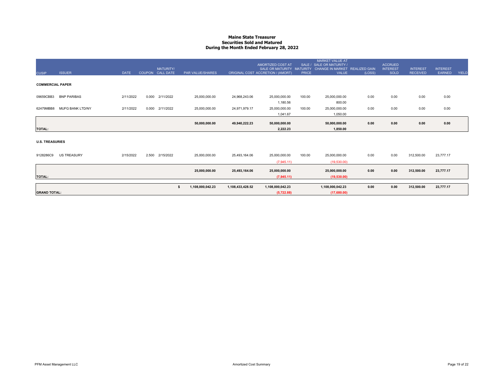#### **Maine State Treasurer Securities Sold and MaturedDuring the Month Ended February 28, 2022**

|                         |                         |             |       |                  |                         |                  |                                                |              | <b>MARKET VALUE AT</b>                                      |        |                                   |                 |                 |              |
|-------------------------|-------------------------|-------------|-------|------------------|-------------------------|------------------|------------------------------------------------|--------------|-------------------------------------------------------------|--------|-----------------------------------|-----------------|-----------------|--------------|
|                         |                         |             |       | MATURITY/        |                         |                  | AMORTIZED COST AT<br>SALE OR MATURITY MATURITY |              | SALE / SALE OR MATURITY /<br>CHANGE IN MARKET REALIZED GAIN |        | <b>ACCRUED</b><br><b>INTEREST</b> | <b>INTEREST</b> | <b>INTEREST</b> |              |
| <b>CUSIP</b>            | <b>ISSUER</b>           | <b>DATE</b> |       | COUPON CALL DATE | <b>PAR VALUE/SHARES</b> |                  | ORIGINAL COST ACCRETION / (AMORT)              | <b>PRICE</b> | <b>VALUE</b>                                                | (LOSS) | <b>SOLD</b>                       | <b>RECEIVED</b> | EARNED          | <b>YIELD</b> |
|                         |                         |             |       |                  |                         |                  |                                                |              |                                                             |        |                                   |                 |                 |              |
| <b>COMMERCIAL PAPER</b> |                         |             |       |                  |                         |                  |                                                |              |                                                             |        |                                   |                 |                 |              |
| 09659CBB3               | <b>BNP PARIBAS</b>      | 2/11/2022   | 0.000 | 2/11/2022        | 25,000,000.00           | 24,968,243.06    | 25,000,000.00                                  | 100.00       | 25,000,000.00                                               | 0.00   | 0.00                              | 0.00            | 0.00            |              |
|                         |                         |             |       |                  |                         |                  | 1,180.56                                       |              | 800.00                                                      |        |                                   |                 |                 |              |
| 62479MBB8               | <b>MUFG BANK LTD/NY</b> | 2/11/2022   | 0.000 | 2/11/2022        | 25,000,000.00           | 24,971,979.17    | 25,000,000.00                                  | 100.00       | 25,000,000.00                                               | 0.00   | 0.00                              | 0.00            | 0.00            |              |
|                         |                         |             |       |                  |                         |                  | 1,041.67                                       |              | 1,050.00                                                    |        |                                   |                 |                 |              |
|                         |                         |             |       |                  | 50,000,000.00           | 49,940,222.23    | 50,000,000.00                                  |              | 50,000,000.00                                               | 0.00   | 0.00                              | 0.00            | 0.00            |              |
| <b>TOTAL:</b>           |                         |             |       |                  |                         |                  | 2.222.23                                       |              | 1,850.00                                                    |        |                                   |                 |                 |              |
|                         |                         |             |       |                  |                         |                  |                                                |              |                                                             |        |                                   |                 |                 |              |
| <b>U.S. TREASURIES</b>  |                         |             |       |                  |                         |                  |                                                |              |                                                             |        |                                   |                 |                 |              |
| 9128286C9               | <b>US TREASURY</b>      | 2/15/2022   | 2.500 | 2/15/2022        | 25,000,000.00           | 25,493,164.06    | 25,000,000.00                                  | 100.00       | 25,000,000.00                                               | 0.00   | 0.00                              | 312,500.00      | 23,777.17       |              |
|                         |                         |             |       |                  |                         |                  | (7,945.11)                                     |              | (19,530.00)                                                 |        |                                   |                 |                 |              |
|                         |                         |             |       |                  | 25,000,000.00           | 25,493,164.06    | 25,000,000.00                                  |              | 25,000,000.00                                               | 0.00   | 0.00                              | 312,500.00      | 23,777.17       |              |
| <b>TOTAL:</b>           |                         |             |       |                  |                         |                  | (7,945.11)                                     |              | (19,530.00)                                                 |        |                                   |                 |                 |              |
|                         |                         |             |       |                  |                         |                  |                                                |              |                                                             |        |                                   |                 |                 |              |
|                         |                         |             |       |                  | 1,108,000,042.23<br>s   | 1,108,433,428.52 | 1,108,000,042.23                               |              | 1,108,000,042.23                                            | 0.00   | 0.00                              | 312,500.00      | 23,777.17       |              |
| <b>GRAND TOTAL:</b>     |                         |             |       |                  |                         |                  | (5,722.88)                                     |              | (17,680.00)                                                 |        |                                   |                 |                 |              |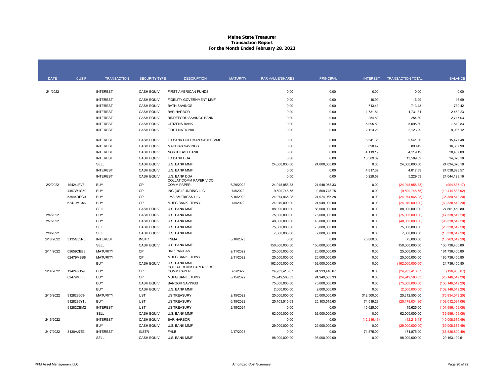#### **Maine State Treasurer Transaction Report For the Month Ended February 28, 2022**

| <b>DATE</b> | <b>CUSIP</b> | <b>TRANSACTION</b> | <b>SECURITY TYPE</b> | <b>DESCRIPTION</b>                      | <b>MATURITY</b> | PAR VALUE/SHARES | <b>PRINCIPAL</b> | <b>INTEREST</b> | <b>TRANSACTION TOTAL</b> | <b>BALANCE</b>     |
|-------------|--------------|--------------------|----------------------|-----------------------------------------|-----------------|------------------|------------------|-----------------|--------------------------|--------------------|
| 2/1/2022    |              | <b>INTEREST</b>    | <b>CASH EQUIV</b>    | FIRST AMERICAN FUNDS                    |                 | 0.00             | 0.00             | 0.00            | 0.00                     | 0.00               |
|             |              |                    |                      |                                         |                 |                  |                  |                 |                          |                    |
|             |              | <b>INTEREST</b>    | <b>CASH EQUIV</b>    | <b>FIDELITY GOVERNMENT MMF</b>          |                 | 0.00             | 0.00             | 16.99           | 16.99                    | 16.99              |
|             |              | <b>INTEREST</b>    | <b>CASH EQUIV</b>    | <b>BATH SAVINGS</b>                     |                 | 0.00             | 0.00             | 713.43          | 713.43                   | 730.42             |
|             |              | <b>INTEREST</b>    | <b>CASH EQUIV</b>    | <b>BAR HARBOR</b>                       |                 | 0.00             | 0.00             | 1,731.81        | 1,731.81                 | 2,462.23           |
|             |              | <b>INTEREST</b>    | <b>CASH EQUIV</b>    | <b>BIDDEFORD SAVINGS BANK</b>           |                 | 0.00             | 0.00             | 254.80          | 254.80                   | 2,717.03           |
|             |              | <b>INTEREST</b>    | <b>CASH EQUIV</b>    | <b>CITIZENS BANK</b>                    |                 | 0.00             | 0.00             | 5,095.80        | 5,095.80                 | 7,812.83           |
|             |              | <b>INTEREST</b>    | <b>CASH EQUIV</b>    | <b>FIRST NATIONAL</b>                   |                 | 0.00             | 0.00             | 2,123.29        | 2,123.29                 | 9,936.12           |
|             |              | <b>INTEREST</b>    | <b>CASH EQUIV</b>    | TD BANK GOLDMAN SACHS MMF               |                 | 0.00             | 0.00             | 5.541.36        | 5.541.36                 | 15.477.48          |
|             |              | <b>INTEREST</b>    | <b>CASH EQUIV</b>    | <b>MACHIAS SAVINGS</b>                  |                 | 0.00             | 0.00             | 890.42          | 890.42                   | 16,367.90          |
|             |              | <b>INTEREST</b>    | <b>CASH EQUIV</b>    | <b>NORTHEAST BANK</b>                   |                 | 0.00             | 0.00             | 4,119.19        | 4,119.19                 | 20,487.09          |
|             |              | <b>INTEREST</b>    | <b>CASH EQUIV</b>    | TD BANK DDA                             |                 | 0.00             | 0.00             | 13,589.09       | 13,589.09                | 34,076.18          |
|             |              | <b>SELL</b>        | <b>CASH EQUIV</b>    | U.S. BANK MMF                           |                 | 24,000,000.00    | 24,000,000.00    | 0.00            | 24,000,000.00            | 24.034.076.18      |
|             |              | <b>INTEREST</b>    | <b>CASH EQUIV</b>    | U.S. BANK MMF                           |                 | 0.00             | 0.00             | 4,817.39        | 4,817.39                 | 24,038,893.57      |
|             |              | <b>INTEREST</b>    | <b>CASH EQUIV</b>    | U.S. BANK DDA<br>COLLAT COMM PAPER V CO |                 | 0.00             | 0.00             | 5,229.59        | 5,229.59                 | 24.044.123.16      |
| 2/2/2022    | 19424JFV3    | <b>BUY</b>         | CP                   | <b>COMM PAPER</b>                       | 6/29/2022       | 24,948,958.33    | 24,948,958.33    | 0.00            | (24,948,958.33)          | (904, 835.17)      |
|             | 4497W1G59    | <b>BUY</b>         | CP                   | ING (US) FUNDING LLC                    | 7/5/2022        | 9,509,748.75     | 9,509,748.75     | 0.00            | (9,509,748.75)           | (10, 414, 583.92)  |
|             | 53944REG9    | <b>BUY</b>         | CP                   | <b>LMA AMERICAS LLC</b>                 | 5/16/2022       | 24,974,965.28    | 24,974,965.28    | 0.00            | (24, 974, 965.28)        | (35,389,549.20)    |
|             | 62479MG56    | <b>BUY</b>         | CP                   | MUFG BANK LTD/NY                        | 7/5/2022        | 24,949,000.00    | 24,949,000.00    | 0.00            | (24,949,000.00)          | (60, 338, 549.20)  |
|             |              | SELL               | <b>CASH EQUIV</b>    | U.S. BANK MMF                           |                 | 88,000,000.00    | 88,000,000.00    | 0.00            | 88,000,000.00            | 27,661,450.80      |
| 2/4/2022    |              | <b>BUY</b>         | <b>CASH EQUIV</b>    | U.S. BANK MMF                           |                 | 75,000,000.00    | 75,000,000.00    | 0.00            | (75,000,000.00)          | (47, 338, 549.20)  |
| 2/7/2022    |              | <b>BUY</b>         | <b>CASH EQUIV</b>    | U.S. BANK MMF                           |                 | 48.000.000.00    | 48.000.000.00    | 0.00            | (48,000,000.00)          | (95.338.549.20)    |
|             |              | SELL               | <b>CASH EQUIV</b>    | U.S. BANK MMF                           |                 | 75,000,000.00    | 75,000,000.00    | 0.00            | 75,000,000.00            | (20, 338, 549.20)  |
| 2/8/2022    |              | <b>SELL</b>        | <b>CASH EQUIV</b>    | U.S. BANK MMF                           |                 | 7,000,000.00     | 7,000,000.00     | 0.00            | 7,000,000.00             | (13,338,549.20)    |
| 2/10/2022   | 3135G05R0    | <b>INTEREST</b>    | <b>INSTR</b>         | <b>FNMA</b>                             | 8/10/2023       | 0.00             | 0.00             | 75,000.00       | 75,000.00                | (13,263,549.20)    |
|             |              | <b>SELL</b>        | <b>CASH EQUIV</b>    | U.S. BANK MMF                           |                 | 150,000,000.00   | 150,000,000.00   | 0.00            | 150,000,000.00           | 136,736,450.80     |
| 2/11/2022   | 09659CBB3    | <b>MATURITY</b>    | CP                   | <b>BNP PARIBAS</b>                      | 2/11/2022       | 25.000.000.00    | 25.000.000.00    | 0.00            | 25.000.000.00            | 161.736.450.80     |
|             | 62479MBB8    | <b>MATURITY</b>    | CP                   | MUFG BANK LTD/NY                        | 2/11/2022       | 25,000,000.00    | 25,000,000.00    | 0.00            | 25,000,000.00            | 186,736,450.80     |
|             |              | <b>BUY</b>         | <b>CASH EQUIV</b>    | U.S. BANK MMF<br>COLLAT COMM PAPER V CO |                 | 162.000.000.00   | 162.000.000.00   | 0.00            | (162,000,000.00)         | 24.736.450.80      |
| 2/14/2022   | 19424JG59    | <b>BUY</b>         | CP                   | <b>COMM PAPER</b>                       | 7/5/2022        | 24,933,416.67    | 24,933,416.67    | 0.00            | (24, 933, 416.67)        | (196, 965.87)      |
|             | 62479MFF5    | <b>BUY</b>         | CP                   | MUFG BANK LTD/NY                        | 6/15/2022       | 24,949,583.33    | 24,949,583.33    | 0.00            | (24,949,583.33)          | (25, 146, 549.20)  |
|             |              | <b>BUY</b>         | <b>CASH EQUIV</b>    | <b>BANGOR SAVINGS</b>                   |                 | 75,000,000.00    | 75,000,000.00    | 0.00            | (75,000,000.00)          | (100, 146, 549.20) |
|             |              | <b>BUY</b>         | <b>CASH EQUIV</b>    | U.S. BANK MMF                           |                 | 2,000,000.00     | 2,000,000.00     | 0.00            | (2,000,000.00)           | (102, 146, 549.20) |
| 2/15/2022   | 9128286C9    | <b>MATURITY</b>    | <b>UST</b>           | <b>US TREASURY</b>                      | 2/15/2022       | 25,000,000.00    | 25,000,000.00    | 312,500.00      | 25,312,500.00            | (76,834,049.20)    |
|             | 9128286Y1    | <b>BUY</b>         | UST                  | <b>US TREASURY</b>                      | 6/15/2022       | 25,103,515.63    | 25,103,515.63    | 74,519.23       | (25, 178, 034.86)        | (102, 012, 084.06) |
|             | 91282CBM2    | <b>INTEREST</b>    | <b>UST</b>           | <b>US TREASURY</b>                      | 2/15/2024       | 0.00             | 0.00             | 15,625.00       | 15,625.00                | (101, 996, 459.06) |
|             |              | <b>SELL</b>        | <b>CASH EQUIV</b>    | U.S. BANK MMF                           |                 | 62,000,000.00    | 62,000,000.00    | 0.00            | 62,000,000.00            | (39,996,459.06)    |
| 2/16/2022   |              | <b>INTEREST</b>    | <b>CASH EQUIV</b>    | <b>BAR HARBOR</b>                       |                 | 0.00             | 0.00             | (12, 216.43)    | (12, 216.43)             | (40,008,675.49)    |
|             |              | <b>BUY</b>         | <b>CASH EQUIV</b>    | U.S. BANK MMF                           |                 | 29,000,000.00    | 29,000,000.00    | 0.00            | (29,000,000.00)          | (69,008,675.49)    |
| 2/17/2022   | 3130AJ7E3    | <b>INTEREST</b>    | <b>INSTR</b>         | <b>FHLB</b>                             | 2/17/2023       | 0.00             | 0.00             | 171,875.00      | 171,875.00               | (68, 836, 800.49)  |
|             |              | SELL               | <b>CASH EQUIV</b>    | U.S. BANK MMF                           |                 | 98.000.000.00    | 98,000,000.00    | 0.00            | 98,000,000.00            | 29, 163, 199.51    |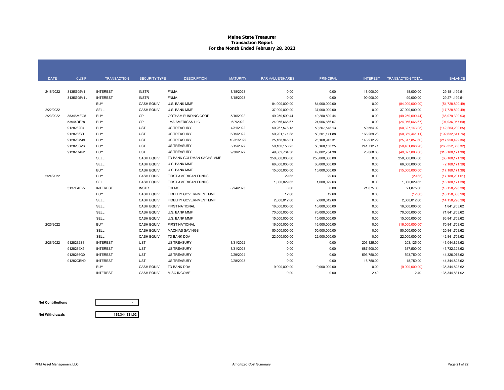#### **Maine State Treasurer Transaction Report For the Month Ended February 28, 2022**

| <b>DATE</b> | <b>CUSIP</b> | <b>TRANSACTION</b> | <b>SECURITY TYPE</b> | <b>DESCRIPTION</b>             | <b>MATURITY</b> | PAR VALUE/SHARES | <b>PRINCIPAL</b> | <b>INTEREST</b> | <b>TRANSACTION TOTAL</b> | <b>BALANCE</b>      |
|-------------|--------------|--------------------|----------------------|--------------------------------|-----------------|------------------|------------------|-----------------|--------------------------|---------------------|
|             |              |                    |                      |                                |                 |                  |                  |                 |                          |                     |
| 2/18/2022   | 3135G05V1    | <b>INTEREST</b>    | <b>INSTR</b>         | <b>FNMA</b>                    | 8/18/2023       | 0.00             | 0.00             | 18,000.00       | 18,000.00                | 29,181,199.51       |
|             | 3135G05V1.   | <b>INTEREST</b>    | <b>INSTR</b>         | <b>FNMA</b>                    | 8/18/2023       | 0.00             | 0.00             | 90,000.00       | 90,000.00                | 29,271,199.51       |
|             |              | <b>BUY</b>         | <b>CASH EQUIV</b>    | U.S. BANK MMF                  |                 | 84,000,000.00    | 84,000,000.00    | 0.00            | (84,000,000.00)          | (54, 728, 800.49)   |
| 2/22/2022   |              | SELL               | <b>CASH EQUIV</b>    | U.S. BANK MMF                  |                 | 37,000,000.00    | 37,000,000.00    | 0.00            | 37,000,000.00            | (17,728,800.49)     |
| 2/23/2022   | 38346MEG5    | <b>BUY</b>         | CP                   | <b>GOTHAM FUNDING CORP</b>     | 5/16/2022       | 49,250,590.44    | 49,250,590.44    | 0.00            | (49, 250, 590.44)        | (66,979,390.93)     |
|             | 53944RF78    | <b>BUY</b>         | CP                   | <b>LMA AMERICAS LLC</b>        | 6/7/2022        | 24,956,666.67    | 24,956,666.67    | 0.00            | (24,956,666.67)          | (91,936,057.60)     |
|             | 9128282P4    | <b>BUY</b>         | <b>UST</b>           | <b>US TREASURY</b>             | 7/31/2022       | 50,267,578.13    | 50,267,578.13    | 59,564.92       | (50, 327, 143.05)        | (142, 263, 200.65)  |
|             | 9128286Y1    | <b>BUY</b>         | <b>UST</b>           | <b>US TREASURY</b>             | 6/15/2022       | 50,201,171.88    | 50,201,171.88    | 168,269.23      | (50, 369, 441.11)        | (192, 632, 641.76)  |
|             | 912828M49    | <b>BUY</b>         | <b>UST</b>           | <b>US TREASURY</b>             | 10/31/2022      | 25, 168, 945. 31 | 25, 168, 945. 31 | 148,912.29      | (25,317,857.60)          | (217,950,499.36)    |
|             | 912828SV3    | <b>BUY</b>         | <b>UST</b>           | <b>US TREASURY</b>             | 5/15/2022       | 50,160,156.25    | 50,160,156.25    | 241,712.71      | (50, 401, 868.96)        | (268, 352, 368, 32) |
|             | 91282CAN1    | <b>BUY</b>         | <b>UST</b>           | <b>US TREASURY</b>             | 9/30/2022       | 49,802,734.38    | 49,802,734.38    | 25,068.68       | (49,827,803.06)          | (318, 180, 171.38)  |
|             |              | SELL               | <b>CASH EQUIV</b>    | TD BANK GOLDMAN SACHS MMF      |                 | 250,000,000.00   | 250,000,000.00   | 0.00            | 250,000,000.00           | (68, 180, 171, 38)  |
|             |              | SELL               | <b>CASH EQUIV</b>    | U.S. BANK MMF                  |                 | 66,000,000.00    | 66,000,000.00    | 0.00            | 66,000,000.00            | (2,180,171.38)      |
|             |              | <b>BUY</b>         | <b>CASH EQUIV</b>    | U.S. BANK MMF                  |                 | 15,000,000.00    | 15,000,000.00    | 0.00            | (15,000,000.00)          | (17, 180, 171.38)   |
| 2/24/2022   |              | <b>BUY</b>         | <b>CASH EQUIV</b>    | FIRST AMERICAN FUNDS           |                 | 29.63            | 29.63            | 0.00            | (29.63)                  | (17, 180, 201.01)   |
|             |              | <b>SELL</b>        | <b>CASH EQUIV</b>    | <b>FIRST AMERICAN FUNDS</b>    |                 | 1,000,029.63     | 1,000,029.63     | 0.00            | 1,000,029.63             | (16, 180, 171.38)   |
|             | 3137EAEV7    | <b>INTEREST</b>    | <b>INSTR</b>         | <b>FHLMC</b>                   | 8/24/2023       | 0.00             | 0.00             | 21,875.00       | 21,875.00                | (16, 158, 296.38)   |
|             |              | <b>BUY</b>         | <b>CASH EQUIV</b>    | <b>FIDELITY GOVERNMENT MMF</b> |                 | 12.60            | 12.60            | 0.00            | (12.60)                  | (16, 158, 308.98)   |
|             |              | SELL               | <b>CASH EQUIV</b>    | <b>FIDELITY GOVERNMENT MMF</b> |                 | 2,000,012.60     | 2,000,012.60     | 0.00            | 2,000,012.60             | (14, 158, 296.38)   |
|             |              | SELL               | <b>CASH EQUIV</b>    | FIRST NATIONAL                 |                 | 16,000,000.00    | 16,000,000.00    | 0.00            | 16,000,000.00            | 1,841,703.62        |
|             |              | SELL               | <b>CASH EQUIV</b>    | U.S. BANK MMF                  |                 | 70,000,000.00    | 70,000,000.00    | 0.00            | 70,000,000.00            | 71,841,703.62       |
|             |              | <b>SELL</b>        | <b>CASH EQUIV</b>    | U.S. BANK MMF                  |                 | 15,000,000.00    | 15,000,000.00    | 0.00            | 15,000,000.00            | 86,841,703.62       |
| 2/25/2022   |              | <b>BUY</b>         | <b>CASH EQUIV</b>    | <b>FIRST NATIONAL</b>          |                 | 16,000,000.00    | 16,000,000.00    | 0.00            | (16,000,000.00)          | 70,841,703.62       |
|             |              | SELL               | <b>CASH EQUIV</b>    | <b>MACHIAS SAVINGS</b>         |                 | 50,000,000.00    | 50,000,000.00    | 0.00            | 50,000,000.00            | 120,841,703.62      |
|             |              | SELL               | <b>CASH EQUIV</b>    | TD BANK DDA                    |                 | 22,000,000.00    | 22,000,000.00    | 0.00            | 22,000,000.00            | 142,841,703.62      |
| 2/28/2022   | 9128282S8    | <b>INTEREST</b>    | <b>UST</b>           | <b>US TREASURY</b>             | 8/31/2022       | 0.00             | 0.00             | 203,125.00      | 203,125.00               | 143,044,828.62      |
|             | 9128284X5    | <b>INTEREST</b>    | <b>UST</b>           | <b>US TREASURY</b>             | 8/31/2023       | 0.00             | 0.00             | 687,500.00      | 687,500.00               | 143,732,328.62      |
|             | 9128286G0    | <b>INTEREST</b>    | <b>UST</b>           | <b>US TREASURY</b>             | 2/29/2024       | 0.00             | 0.00             | 593,750.00      | 593,750.00               | 144,326,078.62      |
|             | 91282CBN0    | <b>INTEREST</b>    | <b>UST</b>           | <b>US TREASURY</b>             | 2/28/2023       | 0.00             | 0.00             | 18,750.00       | 18,750.00                | 144,344,828.62      |
|             |              | <b>BUY</b>         | <b>CASH EQUIV</b>    | TD BANK DDA                    |                 | 9,000,000.00     | 9,000,000.00     | 0.00            | (9,000,000.00)           | 135,344,828.62      |
|             |              | <b>INTEREST</b>    | <b>CASH EQUIV</b>    | MISC INCOME                    |                 | 0.00             | 0.00             | 2.40            | 2.40                     | 135,344,831.02      |

#### **Net Contributions**

**-**

**Net Withdrawals**

**135,344,831.02**